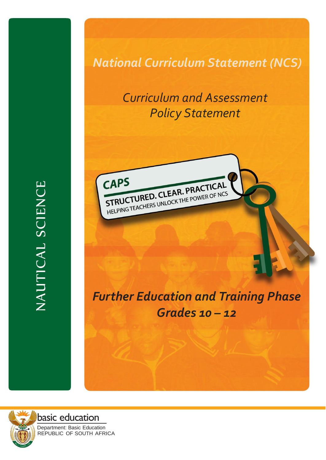*National Curriculum Statement (NCS)*

# *Curriculum and Assessment Policy Statement*



# *Further Education and Training Phase Grades 10 – 12*



basic education Department: Basic Education REPUBLIC OF SOUTH AFRICA

NAUTICAL SCIENCE NAUTICAL SCIENCE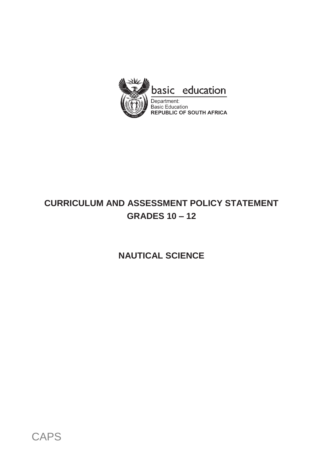

# **CURRICULUM AND ASSESSMENT POLICY STATEMENT GRADES 10 – 12**

**NAUTICAL SCIENCE**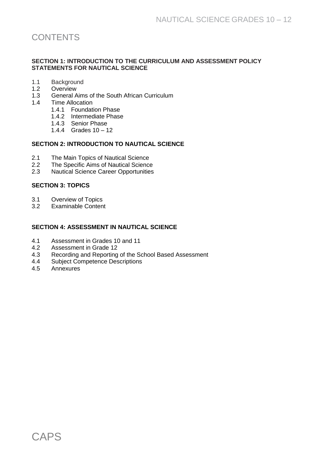# **CONTENTS**

#### **SECTION 1: INTRODUCTION TO THE CURRICULUM AND ASSESSMENT POLICY STATEMENTS FOR NAUTICAL SCIENCE**

- 1.1 Background<br>1.2 Overview
- **Overview**
- 1.3 General Aims of the South African Curriculum
- 1.4 Time Allocation
	- 1.4.1 Foundation Phase
	- 1.4.2 Intermediate Phase
	- 1.4.3 Senior Phase
	- 1.4.4 Grades 10 12

#### **SECTION 2: INTRODUCTION TO NAUTICAL SCIENCE**

- 2.1 The Main Topics of Nautical Science<br>2.2 The Specific Aims of Nautical Science
- 2.2 The Specific Aims of Nautical Science<br>2.3 Nautical Science Career Opportunities
- **Nautical Science Career Opportunities**

#### **SECTION 3: TOPICS**

- 3.1 Overview of Topics<br>3.2 Examinable Conten
- Examinable Content

#### **SECTION 4: ASSESSMENT IN NAUTICAL SCIENCE**

- 4.1 Assessment in Grades 10 and 11<br>4.2 Assessment in Grade 12
- 4.2 Assessment in Grade 12<br>4.3 Recording and Reporting
- 4.3 Recording and Reporting of the School Based Assessment<br>4.4 Subiect Competence Descriptions
- Subject Competence Descriptions
- 4.5 Annexures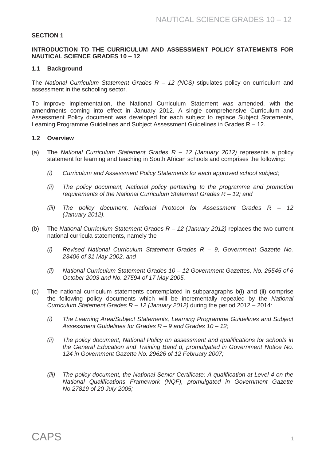#### **SECTION 1**

#### **INTRODUCTION TO THE CURRICULUM AND ASSESSMENT POLICY STATEMENTS FOR NAUTICAL SCIENCE GRADES 10 – 12**

#### **1.1 Background**

The *National Curriculum Statement Grades R – 12 (NCS)* stipulates policy on curriculum and assessment in the schooling sector.

To improve implementation, the National Curriculum Statement was amended, with the amendments coming into effect in January 2012. A single comprehensive Curriculum and Assessment Policy document was developed for each subject to replace Subject Statements, Learning Programme Guidelines and Subject Assessment Guidelines in Grades R – 12.

#### **1.2 Overview**

- (a) The *National Curriculum Statement Grades R – 12 (January 2012)* represents a policy statement for learning and teaching in South African schools and comprises the following:
	- *(i) Curriculum and Assessment Policy Statements for each approved school subject;*
	- *(ii) The policy document, National policy pertaining to the programme and promotion requirements of the National Curriculum Statement Grades R – 12; and*
	- *(iii) The policy document, National Protocol for Assessment Grades R – 12 (January 2012).*
- (b) The *National Curriculum Statement Grades R – 12 (January 2012)* replaces the two current national curricula statements, namely the
	- *(i) Revised National Curriculum Statement Grades R – 9, Government Gazette No. 23406 of 31 May 2002, and*
	- *(ii) National Curriculum Statement Grades 10 – 12 Government Gazettes, No. 25545 of 6 October 2003 and No. 27594 of 17 May 2005.*
- (c) The national curriculum statements contemplated in subparagraphs b(i) and (ii) comprise the following policy documents which will be incrementally repealed by the *National Curriculum Statement Grades R – 12 (January 2012)* during the period 2012 – 2014:
	- *(i) The Learning Area/Subject Statements, Learning Programme Guidelines and Subject Assessment Guidelines for Grades R – 9 and Grades 10 – 12;*
	- *(ii) The policy document, National Policy on assessment and qualifications for schools in the General Education and Training Band d, promulgated in Government Notice No. 124 in Government Gazette No. 29626 of 12 February 2007;*
	- *(iii) The policy document, the National Senior Certificate: A qualification at Level 4 on the National Qualifications Framework (NQF), promulgated in Government Gazette No.27819 of 20 July 2005;*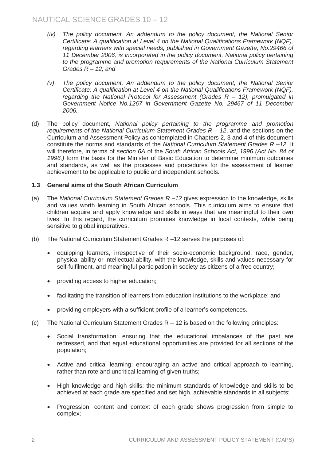- *(iv) The policy document, An addendum to the policy document, the National Senior Certificate: A qualification at Level 4 on the National Qualifications Framework (NQF), regarding learners with special needs, published in Government Gazette, No.29466 of 11 December 2006, is incorporated in the policy document, National policy pertaining to the programme and promotion requirements of the National Curriculum Statement Grades R – 12; and*
- *(v) The policy document, An addendum to the policy document, the National Senior Certificate: A qualification at Level 4 on the National Qualifications Framework (NQF), regarding the National Protocol for Assessment (Grades R – 12), promulgated in Government Notice No.1267 in Government Gazette No. 29467 of 11 December 2006.*
- (d) The policy document, *National policy pertaining to the programme and promotion requirements of the National Curriculum Statement Grades R – 12*, and the sections on the Curriculum and Assessment Policy as contemplated in Chapters 2, 3 and 4 of this document constitute the norms and standards of the *National Curriculum Statement Grades R –12.* It will therefore, in terms of *section 6A* of the *South African Schools Act, 1996 (Act No. 84 of 1996,)* form the basis for the Minister of Basic Education to determine minimum outcomes and standards, as well as the processes and procedures for the assessment of learner achievement to be applicable to public and independent schools.

#### **1.3 General aims of the South African Curriculum**

- (a) The *National Curriculum Statement Grades R –12* gives expression to the knowledge, skills and values worth learning in South African schools. This curriculum aims to ensure that children acquire and apply knowledge and skills in ways that are meaningful to their own lives. In this regard, the curriculum promotes knowledge in local contexts, while being sensitive to global imperatives.
- (b) The National Curriculum Statement Grades R –12 serves the purposes of:
	- equipping learners, irrespective of their socio-economic background, race, gender, physical ability or intellectual ability, with the knowledge, skills and values necessary for self-fulfilment, and meaningful participation in society as citizens of a free country;
	- providing access to higher education;
	- facilitating the transition of learners from education institutions to the workplace; and
	- providing employers with a sufficient profile of a learner's competences.
- (c) The National Curriculum Statement Grades R 12 is based on the following principles:
	- Social transformation: ensuring that the educational imbalances of the past are redressed, and that equal educational opportunities are provided for all sections of the population;
	- Active and critical learning: encouraging an active and critical approach to learning, rather than rote and uncritical learning of given truths;
	- High knowledge and high skills: the minimum standards of knowledge and skills to be achieved at each grade are specified and set high, achievable standards in all subjects;
	- Progression: content and context of each grade shows progression from simple to complex;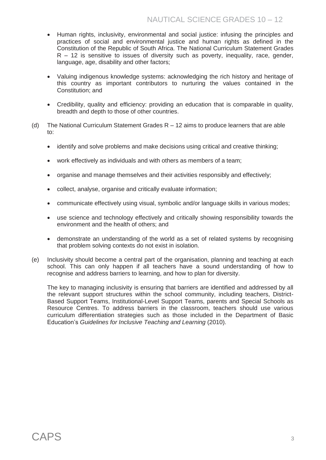- Human rights, inclusivity, environmental and social justice: infusing the principles and practices of social and environmental justice and human rights as defined in the Constitution of the Republic of South Africa. The National Curriculum Statement Grades  $R - 12$  is sensitive to issues of diversity such as poverty, inequality, race, gender, language, age, disability and other factors;
- Valuing indigenous knowledge systems: acknowledging the rich history and heritage of this country as important contributors to nurturing the values contained in the Constitution; and
- Credibility, quality and efficiency: providing an education that is comparable in quality, breadth and depth to those of other countries.
- (d) The National Curriculum Statement Grades  $R 12$  aims to produce learners that are able to:
	- identify and solve problems and make decisions using critical and creative thinking;
	- work effectively as individuals and with others as members of a team;
	- organise and manage themselves and their activities responsibly and effectively;
	- collect, analyse, organise and critically evaluate information;
	- communicate effectively using visual, symbolic and/or language skills in various modes;
	- use science and technology effectively and critically showing responsibility towards the environment and the health of others; and
	- demonstrate an understanding of the world as a set of related systems by recognising that problem solving contexts do not exist in isolation.
- (e) Inclusivity should become a central part of the organisation, planning and teaching at each school. This can only happen if all teachers have a sound understanding of how to recognise and address barriers to learning, and how to plan for diversity.

The key to managing inclusivity is ensuring that barriers are identified and addressed by all the relevant support structures within the school community, including teachers, District-Based Support Teams, Institutional-Level Support Teams, parents and Special Schools as Resource Centres. To address barriers in the classroom, teachers should use various curriculum differentiation strategies such as those included in the Department of Basic Education's *Guidelines for Inclusive Teaching and Learning* (2010).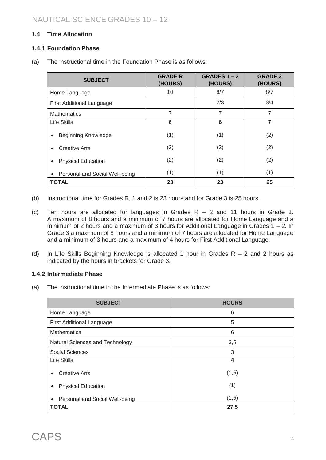### **1.4 Time Allocation**

#### **1.4.1 Foundation Phase**

(a) The instructional time in the Foundation Phase is as follows:

| <b>SUBJECT</b>                              | <b>GRADE R</b><br>(HOURS) | GRADES $1 - 2$<br>(HOURS) | <b>GRADE 3</b><br>(HOURS) |
|---------------------------------------------|---------------------------|---------------------------|---------------------------|
| Home Language                               | 10                        | 8/7                       | 8/7                       |
| <b>First Additional Language</b>            |                           | 2/3                       | 3/4                       |
| <b>Mathematics</b>                          | 7                         | 7                         | 7                         |
| <b>Life Skills</b>                          | 6                         | 6                         | 7                         |
| <b>Beginning Knowledge</b><br>$\bullet$     | (1)                       | (1)                       | (2)                       |
| <b>Creative Arts</b><br>$\bullet$           | (2)                       | (2)                       | (2)                       |
| <b>Physical Education</b><br>$\bullet$      | (2)                       | (2)                       | (2)                       |
| Personal and Social Well-being<br>$\bullet$ | (1)                       | (1)                       | (1)                       |
| <b>TOTAL</b>                                | 23                        | 23                        | 25                        |

- (b) Instructional time for Grades R, 1 and 2 is 23 hours and for Grade 3 is 25 hours.
- (c) Ten hours are allocated for languages in Grades  $R 2$  and 11 hours in Grade 3. A maximum of 8 hours and a minimum of 7 hours are allocated for Home Language and a minimum of 2 hours and a maximum of 3 hours for Additional Language in Grades 1 – 2. In Grade 3 a maximum of 8 hours and a minimum of 7 hours are allocated for Home Language and a minimum of 3 hours and a maximum of 4 hours for First Additional Language.
- (d) In Life Skills Beginning Knowledge is allocated 1 hour in Grades  $R 2$  and 2 hours as indicated by the hours in brackets for Grade 3.

#### **1.4.2 Intermediate Phase**

(a) The instructional time in the Intermediate Phase is as follows:

| <b>SUBJECT</b>                              | <b>HOURS</b> |
|---------------------------------------------|--------------|
| Home Language                               | 6            |
| <b>First Additional Language</b>            | 5            |
| <b>Mathematics</b>                          | 6            |
| Natural Sciences and Technology             | 3,5          |
| <b>Social Sciences</b>                      | 3            |
| Life Skills                                 | 4            |
| <b>Creative Arts</b><br>$\bullet$           | (1,5)        |
| <b>Physical Education</b><br>$\bullet$      | (1)          |
| Personal and Social Well-being<br>$\bullet$ | (1,5)        |
| <b>TOTAL</b>                                | 27,5         |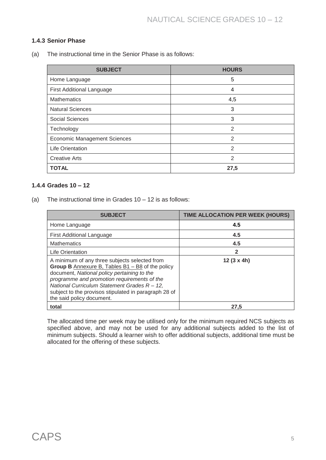#### **1.4.3 Senior Phase**

(a) The instructional time in the Senior Phase is as follows:

| <b>SUBJECT</b>                      | <b>HOURS</b>   |
|-------------------------------------|----------------|
| Home Language                       | 5              |
| <b>First Additional Language</b>    | 4              |
| <b>Mathematics</b>                  | 4,5            |
| <b>Natural Sciences</b>             | 3              |
| <b>Social Sciences</b>              | 3              |
| Technology                          | $\overline{2}$ |
| <b>Economic Management Sciences</b> | 2              |
| <b>Life Orientation</b>             | $\overline{2}$ |
| <b>Creative Arts</b>                | $\mathcal{P}$  |
| <b>TOTAL</b>                        | 27,5           |

#### **1.4.4 Grades 10 – 12**

(a) The instructional time in Grades  $10 - 12$  is as follows:

| <b>SUBJECT</b>                                                                                                                                                                                                                                                                                                                          | TIME ALLOCATION PER WEEK (HOURS) |
|-----------------------------------------------------------------------------------------------------------------------------------------------------------------------------------------------------------------------------------------------------------------------------------------------------------------------------------------|----------------------------------|
| Home Language                                                                                                                                                                                                                                                                                                                           | 4.5                              |
| <b>First Additional Language</b>                                                                                                                                                                                                                                                                                                        | 4.5                              |
| <b>Mathematics</b>                                                                                                                                                                                                                                                                                                                      | 4.5                              |
| <b>Life Orientation</b>                                                                                                                                                                                                                                                                                                                 |                                  |
| A minimum of any three subjects selected from<br>Group B Annexure B, Tables $B1 - B8$ of the policy<br>document, National policy pertaining to the<br>programme and promotion requirements of the<br>National Curriculum Statement Grades R - 12,<br>subject to the provisos stipulated in paragraph 28 of<br>the said policy document. | $12(3 \times 4h)$                |
| total                                                                                                                                                                                                                                                                                                                                   | 27.5                             |

The allocated time per week may be utilised only for the minimum required NCS subjects as specified above, and may not be used for any additional subjects added to the list of minimum subjects. Should a learner wish to offer additional subjects, additional time must be allocated for the offering of these subjects.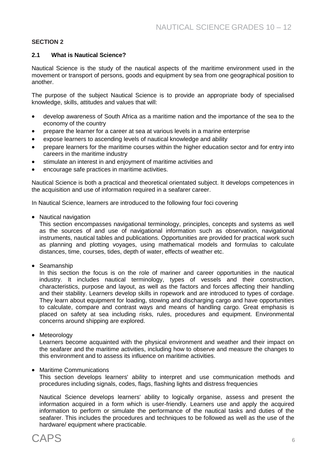#### **SECTION 2**

#### **2.1 What is Nautical Science?**

Nautical Science is the study of the nautical aspects of the maritime environment used in the movement or transport of persons, goods and equipment by sea from one geographical position to another.

The purpose of the subject Nautical Science is to provide an appropriate body of specialised knowledge, skills, attitudes and values that will:

- develop awareness of South Africa as a maritime nation and the importance of the sea to the economy of the country
- prepare the learner for a career at sea at various levels in a marine enterprise
- expose learners to ascending levels of nautical knowledge and ability
- prepare learners for the maritime courses within the higher education sector and for entry into careers in the maritime industry
- stimulate an interest in and enjoyment of maritime activities and
- encourage safe practices in maritime activities.

Nautical Science is both a practical and theoretical orientated subject. It develops competences in the acquisition and use of information required in a seafarer career.

In Nautical Science, learners are introduced to the following four foci covering

• Nautical navigation

This section encompasses navigational terminology, principles, concepts and systems as well as the sources of and use of navigational information such as observation, navigational instruments, nautical tables and publications. Opportunities are provided for practical work such as planning and plotting voyages, using mathematical models and formulas to calculate distances, time, courses, tides, depth of water, effects of weather etc.

• Seamanship

In this section the focus is on the role of mariner and career opportunities in the nautical industry. It includes nautical terminology, types of vessels and their construction, characteristics, purpose and layout, as well as the factors and forces affecting their handling and their stability. Learners develop skills in ropework and are introduced to types of cordage. They learn about equipment for loading, stowing and discharging cargo and have opportunities to calculate, compare and contrast ways and means of handling cargo. Great emphasis is placed on safety at sea including risks, rules, procedures and equipment. Environmental concerns around shipping are explored.

• Meteorology

Learners become acquainted with the physical environment and weather and their impact on the seafarer and the maritime activities, including how to observe and measure the changes to this environment and to assess its influence on maritime activities.

• Maritime Communications

This section develops learners' ability to interpret and use communication methods and procedures including signals, codes, flags, flashing lights and distress frequencies

Nautical Science develops learners' ability to logically organise, assess and present the information acquired in a form which is user-friendly. Learners use and apply the acquired information to perform or simulate the performance of the nautical tasks and duties of the seafarer. This includes the procedures and techniques to be followed as well as the use of the hardware/ equipment where practicable.

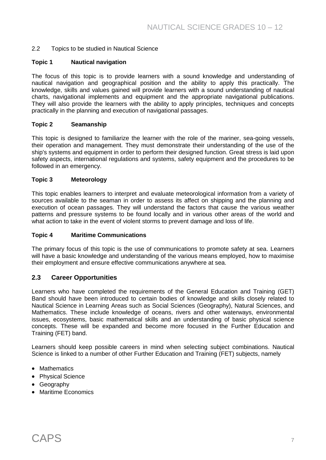#### 2.2 Topics to be studied in Nautical Science

#### **Topic 1 Nautical navigation**

The focus of this topic is to provide learners with a sound knowledge and understanding of nautical navigation and geographical position and the ability to apply this practically. The knowledge, skills and values gained will provide learners with a sound understanding of nautical charts, navigational implements and equipment and the appropriate navigational publications. They will also provide the learners with the ability to apply principles, techniques and concepts practically in the planning and execution of navigational passages.

#### **Topic 2 Seamanship**

This topic is designed to familiarize the learner with the role of the mariner, sea-going vessels, their operation and management. They must demonstrate their understanding of the use of the ship's systems and equipment in order to perform their designed function. Great stress is laid upon safety aspects, international regulations and systems, safety equipment and the procedures to be followed in an emergency.

#### **Topic 3 Meteorology**

This topic enables learners to interpret and evaluate meteorological information from a variety of sources available to the seaman in order to assess its affect on shipping and the planning and execution of ocean passages. They will understand the factors that cause the various weather patterns and pressure systems to be found locally and in various other areas of the world and what action to take in the event of violent storms to prevent damage and loss of life.

#### **Topic 4 Maritime Communications**

The primary focus of this topic is the use of communications to promote safety at sea. Learners will have a basic knowledge and understanding of the various means employed, how to maximise their employment and ensure effective communications anywhere at sea.

#### **2.3 Career Opportunities**

Learners who have completed the requirements of the General Education and Training (GET) Band should have been introduced to certain bodies of knowledge and skills closely related to Nautical Science in Learning Areas such as Social Sciences (Geography), Natural Sciences, and Mathematics. These include knowledge of oceans, rivers and other waterways, environmental issues, ecosystems, basic mathematical skills and an understanding of basic physical science concepts. These will be expanded and become more focused in the Further Education and Training (FET) band.

Learners should keep possible careers in mind when selecting subject combinations. Nautical Science is linked to a number of other Further Education and Training (FET) subjects, namely

- Mathematics
- Physical Science
- Geography
- Maritime Economics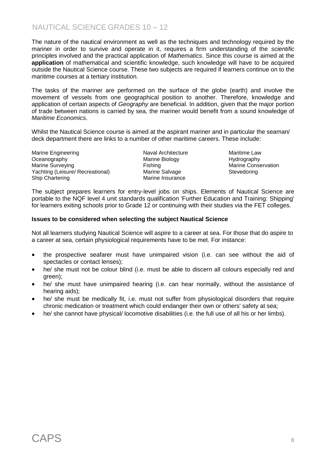# NAUTICAL SCIENCE GRADES 10 – 12

The nature of the nautical environment as well as the techniques and technology required by the mariner in order to survive and operate in it, requires a firm understanding of the *scientific*  principles involved and the practical application of *Mathematics*. Since this course is aimed at the **application** of mathematical and scientific knowledge, such knowledge will have to be acquired outside the Nautical Science course. These two subjects are required if learners continue on to the maritime courses at a tertiary institution.

The tasks of the mariner are performed on the surface of the globe (earth) and involve the movement of vessels from one geographical position to another. Therefore, knowledge and application of certain aspects of *Geography* are beneficial. In addition, given that the major portion of trade between nations is carried by sea, the mariner would benefit from a sound knowledge of *Maritime Economics*.

Whilst the Nautical Science course is aimed at the aspirant mariner and in particular the seaman/ deck department there are links to a number of other maritime careers. These include:

Marine Engineering **Naval Architecture** Maritime Law Oceanography Marine Biology Hydrography Marine Surveying Transform of Fishing Transform of Marine Conservation<br>
Yachting (Leisure/ Recreational) Marine Salvage Transformation Stevedoring Yachting (Leisure/ Recreational) Marine Salvage Stevedoring Stevedoring Ship Chartering Marine Insurance

The subject prepares learners for entry-level jobs on ships. Elements of Nautical Science are portable to the NQF level 4 unit standards qualification 'Further Education and Training: Shipping' for learners exiting schools prior to Grade 12 or continuing with their studies via the FET colleges.

#### **Issues to be considered when selecting the subject Nautical Science**

Not all learners studying Nautical Science will aspire to a career at sea. For those that do aspire to a career at sea, certain physiological requirements have to be met. For instance:

- the prospective seafarer must have unimpaired vision (i.e. can see without the aid of spectacles or contact lenses);
- he/ she must not be colour blind (i.e. must be able to discern all colours especially red and green);
- he/ she must have unimpaired hearing (i.e. can hear normally, without the assistance of hearing aids);
- he/ she must be medically fit, i.e. must not suffer from physiological disorders that require chronic medication or treatment which could endanger their own or others' safety at sea;
- he/ she cannot have physical/ locomotive disabilities (i.e. the full use of all his or her limbs).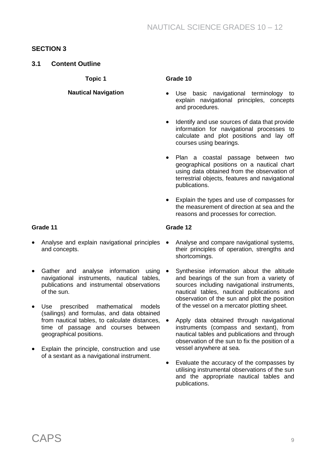## **SECTION 3**

### **3.1 Content Outline**

**Topic 1**

#### **Nautical Navigation**

#### **Grade 10**

- Use basic navigational terminology to explain navigational principles, concepts and procedures.
- Identify and use sources of data that provide information for navigational processes to calculate and plot positions and lay off courses using bearings.
- Plan a coastal passage between two geographical positions on a nautical chart using data obtained from the observation of terrestrial objects, features and navigational publications.
- Explain the types and use of compasses for the measurement of direction at sea and the reasons and processes for correction.

#### **Grade 11**

- Analyse and explain navigational principles and concepts.
- Gather and analyse information using navigational instruments, nautical tables, publications and instrumental observations of the sun.
- Use prescribed mathematical models (sailings) and formulas, and data obtained from nautical tables, to calculate distances, time of passage and courses between geographical positions.
- Explain the principle, construction and use of a sextant as a navigational instrument.

- Analyse and compare navigational systems, their principles of operation, strengths and shortcomings.
- Synthesise information about the altitude and bearings of the sun from a variety of sources including navigational instruments, nautical tables, nautical publications and observation of the sun and plot the position of the vessel on a mercator plotting sheet.
- Apply data obtained through navigational instruments (compass and sextant), from nautical tables and publications and through observation of the sun to fix the position of a vessel anywhere at sea.
- Evaluate the accuracy of the compasses by utilising instrumental observations of the sun and the appropriate nautical tables and publications.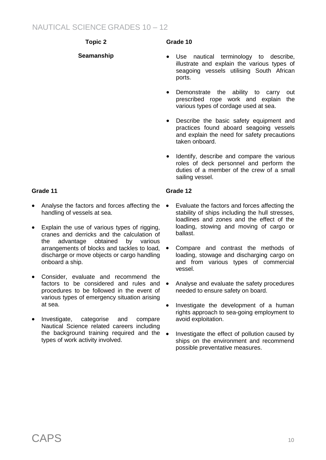# NAUTICAL SCIENCE GRADES 10 – 12

# **Topic 2**

# **Seamanship**

# **Grade 10**

- Use nautical terminology to describe, illustrate and explain the various types of seagoing vessels utilising South African ports.
- Demonstrate the ability to carry out prescribed rope work and explain the various types of cordage used at sea.
- Describe the basic safety equipment and practices found aboard seagoing vessels and explain the need for safety precautions taken onboard.
- Identify, describe and compare the various roles of deck personnel and perform the duties of a member of the crew of a small sailing vessel.

#### **Grade 12**

- Evaluate the factors and forces affecting the stability of ships including the hull stresses, loadlines and zones and the effect of the loading, stowing and moving of cargo or ballast.
- Compare and contrast the methods of loading, stowage and discharging cargo on and from various types of commercial vessel.
- Analyse and evaluate the safety procedures needed to ensure safety on board.
- Investigate the development of a human rights approach to sea-going employment to avoid exploitation.
- Investigate the effect of pollution caused by ships on the environment and recommend possible preventative measures.

- Analyse the factors and forces affecting the handling of vessels at sea.
- Explain the use of various types of rigging. cranes and derricks and the calculation of the advantage obtained by various arrangements of blocks and tackles to load, discharge or move objects or cargo handling onboard a ship.
- Consider, evaluate and recommend the factors to be considered and rules and  $\bullet$ procedures to be followed in the event of various types of emergency situation arising at sea.
- Investigate, categorise and compare Nautical Science related careers including the background training required and the  $\bullet$ types of work activity involved.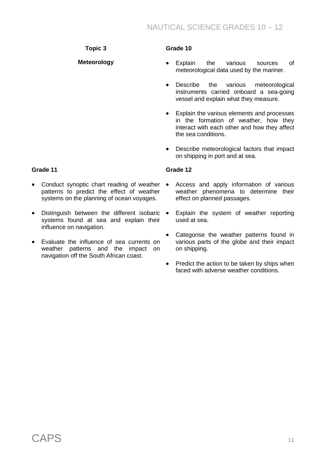**Topic 3**

**Meteorology**

## **Grade 10**

- Explain the various sources of meteorological data used by the mariner.
- Describe the various meteorological instruments carried onboard a sea-going vessel and explain what they measure.
- Explain the various elements and processes in the formation of weather, how they interact with each other and how they affect the sea conditions.
- Describe meteorological factors that impact on shipping in port and at sea.

#### **Grade 11**

- Conduct synoptic chart reading of weather patterns to predict the effect of weather systems on the planning of ocean voyages.
- Distinguish between the different isobaric systems found at sea and explain their influence on navigation.
- Evaluate the influence of sea currents on weather patterns and the impact on navigation off the South African coast.

- Access and apply information of various weather phenomena to determine their effect on planned passages.
- Explain the system of weather reporting used at sea.
- Categorise the weather patterns found in various parts of the globe and their impact on shipping.
- Predict the action to be taken by ships when faced with adverse weather conditions.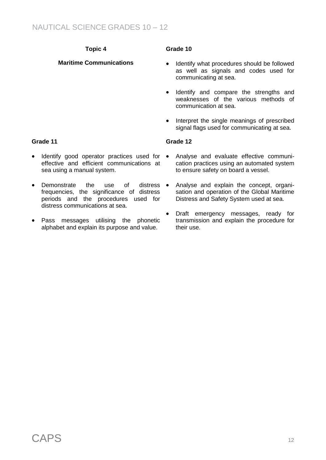# **Topic 4**

### **Maritime Communications**

#### **Grade 10**

- Identify what procedures should be followed as well as signals and codes used for communicating at sea.
- Identify and compare the strengths and weaknesses of the various methods of communication at sea.
- Interpret the single meanings of prescribed signal flags used for communicating at sea.

#### **Grade 12**

- Identify good operator practices used for effective and efficient communications at sea using a manual system.
- Demonstrate the use of distress frequencies, the significance of distress periods and the procedures used for distress communications at sea.
- Pass messages utilising the phonetic alphabet and explain its purpose and value.
- Analyse and evaluate effective communication practices using an automated system to ensure safety on board a vessel.
- Analyse and explain the concept, organisation and operation of the Global Maritime Distress and Safety System used at sea.
- Draft emergency messages, ready for transmission and explain the procedure for their use.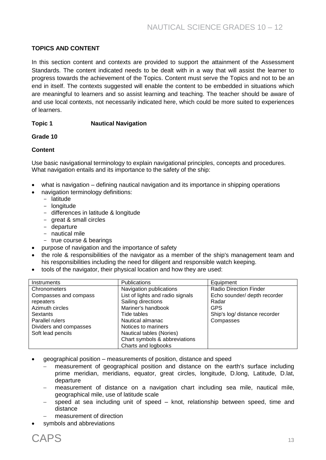#### **TOPICS AND CONTENT**

In this section content and contexts are provided to support the attainment of the Assessment Standards. The content indicated needs to be dealt with in a way that will assist the learner to progress towards the achievement of the Topics. Content must serve the Topics and not to be an end in itself. The contexts suggested will enable the content to be embedded in situations which are meaningful to learners and so assist learning and teaching. The teacher should be aware of and use local contexts, not necessarily indicated here, which could be more suited to experiences of learners.

#### **Topic 1 Nautical Navigation**

#### **Grade 10**

#### **Content**

Use basic navigational terminology to explain navigational principles, concepts and procedures. What navigation entails and its importance to the safety of the ship:

- what is navigation defining nautical navigation and its importance in shipping operations
- navigation terminology definitions:
	- latitude
	- longitude
	- differences in latitude & longitude
	- great & small circles
	- departure
	- nautical mile
	- true course & bearings
- purpose of navigation and the importance of safety
- the role & responsibilities of the navigator as a member of the ship's management team and his responsibilities including the need for diligent and responsible watch keeping.
- tools of the navigator, their physical location and how they are used:

| <b>Instruments</b>     | <b>Publications</b>              | Equipment                     |
|------------------------|----------------------------------|-------------------------------|
| Chronometers           | Navigation publications          | <b>Radio Direction Finder</b> |
| Compasses and compass  | List of lights and radio signals | Echo sounder/ depth recorder  |
| repeaters              | Sailing directions               | Radar                         |
| Azimuth circles        | Mariner's handbook               | <b>GPS</b>                    |
| Sextants               | Tide tables                      | Ship's log/ distance recorder |
| Parallel rulers        | Nautical almanac                 | Compasses                     |
| Dividers and compasses | Notices to mariners              |                               |
| Soft lead pencils      | Nautical tables (Nories)         |                               |
|                        | Chart symbols & abbreviations    |                               |
|                        | Charts and logbooks              |                               |

- geographical position measurements of position, distance and speed
	- measurement of geographical position and distance on the earth's surface including prime meridian, meridians, equator, great circles, longitude, D.long, Latitude, D.lat, departure
	- measurement of distance on a navigation chart including sea mile, nautical mile, geographical mile, use of latitude scale
	- speed at sea including unit of speed knot, relationship between speed, time and distance
	- measurement of direction
- symbols and abbreviations

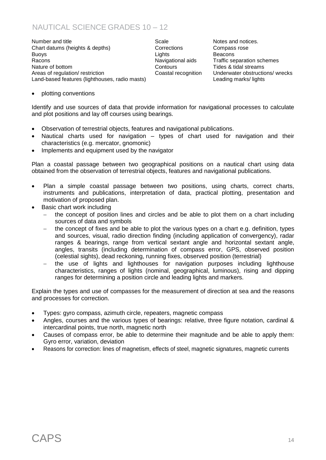# NAUTICAL SCIENCE GRADES 10 – 12

Number and title **Notes** and title Scale **Notes** and notices. Chart datums (heights & depths) Corrections Compass rose Buoys Lights Beacons Racons **Navigational aids** Traffic separation schemes Navigational aids Traffic separation schemes Nature of bottom **Nature of bottom** Contours Contours Tides & tidal streams Areas of regulation/ restriction Coastal recognition Underwater obstructions/ wrecks Land-based features (lighthouses, radio masts) Leading marks/ lights

plotting conventions

Identify and use sources of data that provide information for navigational processes to calculate and plot positions and lay off courses using bearings.

- Observation of terrestrial objects, features and navigational publications.
- Nautical charts used for navigation types of chart used for navigation and their characteristics (e.g. mercator, gnomonic)
- Implements and equipment used by the navigator

Plan a coastal passage between two geographical positions on a nautical chart using data obtained from the observation of terrestrial objects, features and navigational publications.

- Plan a simple coastal passage between two positions, using charts, correct charts, instruments and publications, interpretation of data, practical plotting, presentation and motivation of proposed plan.
- Basic chart work including
	- the concept of position lines and circles and be able to plot them on a chart including sources of data and symbols
	- the concept of fixes and be able to plot the various types on a chart e.g. definition, types and sources, visual, radio direction finding (including application of convergency), radar ranges & bearings, range from vertical sextant angle and horizontal sextant angle, angles, transits (including determination of compass error, GPS, observed position (celestial sights), dead reckoning, running fixes, observed position (terrestrial)
	- the use of lights and lighthouses for navigation purposes including lighthouse characteristics, ranges of lights (nominal, geographical, luminous), rising and dipping ranges for determining a position circle and leading lights and markers.

Explain the types and use of compasses for the measurement of direction at sea and the reasons and processes for correction.

- Types: gyro compass, azimuth circle, repeaters, magnetic compass
- Angles, courses and the various types of bearings: relative, three figure notation, cardinal & intercardinal points, true north, magnetic north
- Causes of compass error, be able to determine their magnitude and be able to apply them: Gyro error, variation, deviation
- Reasons for correction: lines of magnetism, effects of steel, magnetic signatures, magnetic currents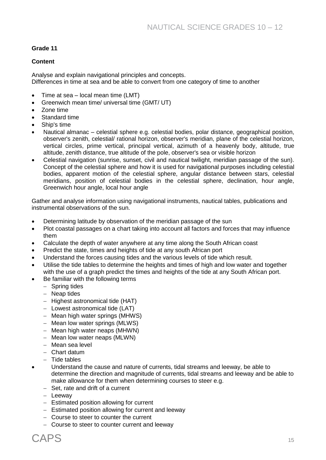#### **Grade 11**

#### **Content**

Analyse and explain navigational principles and concepts. Differences in time at sea and be able to convert from one category of time to another

- Time at sea local mean time (LMT)
- Greenwich mean time/ universal time (GMT/ UT)
- Zone time
- Standard time
- Ship's time
- Nautical almanac celestial sphere e.g. celestial bodies, polar distance, geographical position, observer's zenith, celestial/ rational horizon, observer's meridian, plane of the celestial horizon, vertical circles, prime vertical, principal vertical, azimuth of a heavenly body, altitude, true altitude, zenith distance, true altitude of the pole, observer's sea or visible horizon
- Celestial navigation (sunrise, sunset, civil and nautical twilight, meridian passage of the sun). Concept of the celestial sphere and how it is used for navigational purposes including celestial bodies, apparent motion of the celestial sphere, angular distance between stars, celestial meridians, position of celestial bodies in the celestial sphere, declination, hour angle, Greenwich hour angle, local hour angle

Gather and analyse information using navigational instruments, nautical tables, publications and instrumental observations of the sun.

- Determining latitude by observation of the meridian passage of the sun
- Plot coastal passages on a chart taking into account all factors and forces that may influence them
- Calculate the depth of water anywhere at any time along the South African coast
- Predict the state, times and heights of tide at any south African port
- Understand the forces causing tides and the various levels of tide which result.
- Utilise the tide tables to determine the heights and times of high and low water and together with the use of a graph predict the times and heights of the tide at any South African port.
- Be familiar with the following terms
	- Spring tides
	- Neap tides
	- Highest astronomical tide (HAT)
	- $-$  Lowest astronomical tide (LAT)
	- $-$  Mean high water springs (MHWS)
	- Mean low water springs (MLWS)
	- Mean high water neaps (MHWN)
	- Mean low water neaps (MLWN)
	- Mean sea level
	- Chart datum
	- $-$  Tide tables
- Understand the cause and nature of currents, tidal streams and leeway, be able to determine the direction and magnitude of currents, tidal streams and leeway and be able to make allowance for them when determining courses to steer e.g.
	- $-$  Set, rate and drift of a current
	- Leeway
	- Estimated position allowing for current
	- Estimated position allowing for current and leeway
	- Course to steer to counter the current
	- Course to steer to counter current and leeway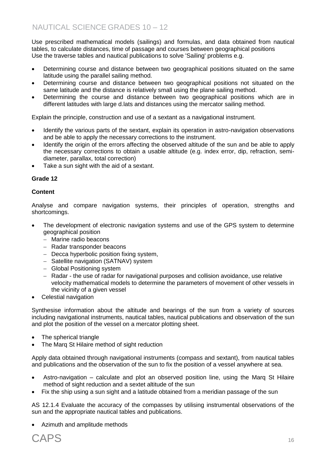Use prescribed mathematical models (sailings) and formulas, and data obtained from nautical tables, to calculate distances, time of passage and courses between geographical positions Use the traverse tables and nautical publications to solve 'Sailing' problems e.g.

- Determining course and distance between two geographical positions situated on the same latitude using the parallel sailing method.
- Determining course and distance between two geographical positions not situated on the same latitude and the distance is relatively small using the plane sailing method.
- Determining the course and distance between two geographical positions which are in different latitudes with large d.lats and distances using the mercator sailing method.

Explain the principle, construction and use of a sextant as a navigational instrument.

- Identify the various parts of the sextant, explain its operation in astro-navigation observations and be able to apply the necessary corrections to the instrument.
- Identify the origin of the errors affecting the observed altitude of the sun and be able to apply the necessary corrections to obtain a usable altitude (e.g. index error, dip, refraction, semidiameter, parallax, total correction)
- Take a sun sight with the aid of a sextant.

#### **Grade 12**

#### **Content**

Analyse and compare navigation systems, their principles of operation, strengths and shortcomings.

- The development of electronic navigation systems and use of the GPS system to determine geographical position
	- Marine radio beacons
	- Radar transponder beacons
	- Decca hyperbolic position fixing system,
	- Satellite navigation (SATNAV) system
	- Global Positioning system
	- Radar the use of radar for navigational purposes and collision avoidance, use relative velocity mathematical models to determine the parameters of movement of other vessels in the vicinity of a given vessel
- Celestial navigation

Synthesise information about the altitude and bearings of the sun from a variety of sources including navigational instruments, nautical tables, nautical publications and observation of the sun and plot the position of the vessel on a mercator plotting sheet.

- The spherical triangle
- The Marq St Hilaire method of sight reduction

Apply data obtained through navigational instruments (compass and sextant), from nautical tables and publications and the observation of the sun to fix the position of a vessel anywhere at sea.

- Astro-navigation calculate and plot an observed position line, using the Marq St Hilaire method of sight reduction and a sextet altitude of the sun
- Fix the ship using a sun sight and a latitude obtained from a meridian passage of the sun

AS 12.1.4 Evaluate the accuracy of the compasses by utilising instrumental observations of the sun and the appropriate nautical tables and publications.

Azimuth and amplitude methods

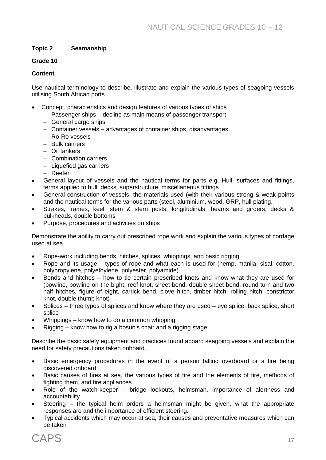#### **Topic 2 Seamanship**

#### **Grade 10**

#### **Content**

Use nautical terminology to describe, illustrate and explain the various types of seagoing vessels utilising South African ports.

- Concept, characteristics and design features of various types of ships
	- Passenger ships decline as main means of passenger transport
	- General cargo ships
	- Container vessels advantages of container ships, disadvantages
	- Ro-Ro vessels
	- Bulk carriers
	- Oil tankers
	- Combination carriers
	- $-$  Liquefied gas carriers
	- Reefer
- General layout of vessels and the nautical terms for parts e.g. Hull, surfaces and fittings, terms applied to hull, decks, superstructure, miscellaneous fittings
- General construction of vessels, the materials used (with their various strong & weak points and the nautical terms for the various parts (steel, aluminium, wood, GRP, hull plating,
- Strakes, frames, keel, stem & stern posts, longitudinals, beams and girders, decks & bulkheads, double bottoms
- Purpose, procedures and activities on ships

Demonstrate the ability to carry out prescribed rope work and explain the various types of cordage used at sea.

- Rope-work including bends, hitches, splices, whippings, and basic rigging.
- Rope and its usage types of rope and what each is used for (hemp, manila, sisal, cotton, polypropylene, polyethylene, polyester, polyamide)
- Bends and hitches how to tie certain prescribed knots and know what they are used for (bowline, bowline on the bight, reef knot, sheet bend, double sheet bend, round turn and two half hitches, figure of eight, carrick bend, clove hitch, timber hitch, rolling hitch, constrictor knot, double thumb knot)
- Splices three types of splices and know where they are used eye splice, back splice, short splice
- Whippings know how to do a common whipping
- Rigging know how to rig a bosun's chair and a rigging stage

Describe the basic safety equipment and practices found aboard seagoing vessels and explain the need for safety precautions taken onboard.

- Basic emergency procedures in the event of a person falling overboard or a fire being discovered onboard.
- Basic causes of fires at sea, the various types of fire and the elements of fire, methods of fighting them, and fire appliances.
- Role of the watch-keeper bridge lookouts, helmsman, importance of alertness and accountability
- Steering the typical helm orders a helmsman might be given, what the appropriate responses are and the importance of efficient steering.
- Typical accidents which may occur at sea, their causes and preventative measures which can be taken

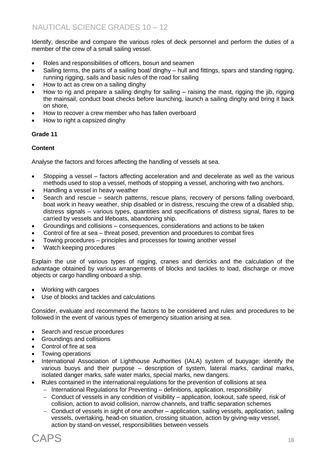Identify, describe and compare the various roles of deck personnel and perform the duties of a member of the crew of a small sailing vessel.

- Roles and responsibilities of officers, bosun and seamen
- Sailing terms, the parts of a sailing boat/ dinghy hull and fittings, spars and standing rigging, running rigging, sails and basic rules of the road for sailing
- How to act as crew on a sailing dinghy
- How to rig and prepare a sailing dinghy for sailing raising the mast, rigging the jib, rigging the mainsail, conduct boat checks before launching, launch a sailing dinghy and bring it back on shore,
- How to recover a crew member who has fallen overboard
- How to right a capsized dinghy

#### **Grade 11**

#### **Content**

Analyse the factors and forces affecting the handling of vessels at sea.

- Stopping a vessel factors affecting acceleration and and decelerate as well as the various methods used to stop a vessel, methods of stopping a vessel, anchoring with two anchors.
- Handling a vessel in heavy weather
- Search and rescue search patterns, rescue plans, recovery of persons falling overboard, boat work in heavy weather, ship disabled or in distress, rescuing the crew of a disabled ship, distress signals – various types, quantities and specifications of distress signal, flares to be carried by vessels and lifeboats, abandoning ship.
- Groundings and collisions consequences, considerations and actions to be taken
- Control of fire at sea threat posed, prevention and procedures to combat fires
- Towing procedures principles and processes for towing another vessel
- Watch keeping procedures

Explain the use of various types of rigging, cranes and derricks and the calculation of the advantage obtained by various arrangements of blocks and tackles to load, discharge or move objects or cargo handling onboard a ship.

- Working with cargoes
- Use of blocks and tackles and calculations

Consider, evaluate and recommend the factors to be considered and rules and procedures to be followed in the event of various types of emergency situation arising at sea.

- Search and rescue procedures
- Groundings and collisions
- Control of fire at sea
- Towing operations
- International Association of Lighthouse Authorities (IALA) system of buoyage: identify the various buoys and their purpose – description of system, lateral marks, cardinal marks, isolated danger marks, safe water marks, special marks, new dangers.
- Rules contained in the international regulations for the prevention of collisions at sea
	- International Regulations for Preventing definitions, application, responsibility
	- Conduct of vessels in any condition of visibility application, lookout, safe speed, risk of collision, action to avoid collision, narrow channels, and traffic separation schemes
	- Conduct of vessels in sight of one another application, sailing vessels, application, sailing vessels, overtaking, head-on situation, crossing situation, action by giving-way vessel, action by stand-on vessel, responsibilities between vessels

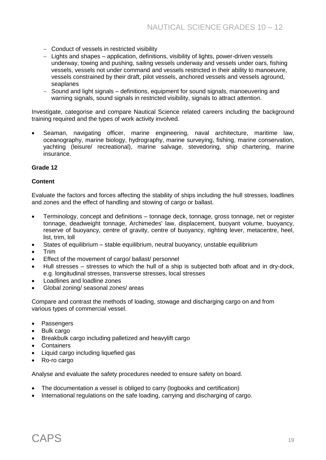- Conduct of vessels in restricted visibility
- Lights and shapes application, definitions, visibility of lights, power-driven vessels underway, towing and pushing, sailing vessels underway and vessels under oars, fishing vessels, vessels not under command and vessels restricted in their ability to manoeuvre, vessels constrained by their draft, pilot vessels, anchored vessels and vessels aground, seaplanes
- Sound and light signals definitions, equipment for sound signals, manoeuvering and warning signals, sound signals in restricted visibility, signals to attract attention.

Investigate, categorise and compare Nautical Science related careers including the background training required and the types of work activity involved.

 Seaman, navigating officer, marine engineering, naval architecture, maritime law, oceanography, marine biology, hydrography, marine surveying, fishing, marine conservation, yachting (leisure/ recreational), marine salvage, stevedoring, ship chartering, marine insurance.

#### **Grade 12**

#### **Content**

Evaluate the factors and forces affecting the stability of ships including the hull stresses, loadlines and zones and the effect of handling and stowing of cargo or ballast.

- Terminology, concept and definitions tonnage deck, tonnage, gross tonnage, net or register tonnage, deadweight tonnage, Archimedes' law, displacement, buoyant volume, buoyancy, reserve of buoyancy, centre of gravity, centre of buoyancy, righting lever, metacentre, heel. list, trim, loll
- States of equilibrium stable equilibrium, neutral buoyancy, unstable equilibrium
- Trim
- Effect of the movement of cargo/ ballast/ personnel
- Hull stresses stresses to which the hull of a ship is subjected both afloat and in dry-dock, e.g. longitudinal stresses, transverse stresses, local stresses
- Loadlines and loadline zones
- Global zoning/ seasonal zones/ areas

Compare and contrast the methods of loading, stowage and discharging cargo on and from various types of commercial vessel.

- Passengers
- Bulk cargo
- Breakbulk cargo including palletized and heavylift cargo
- Containers
- Liquid cargo including liquefied gas
- Ro-ro cargo

Analyse and evaluate the safety procedures needed to ensure safety on board.

- The documentation a vessel is obliged to carry (logbooks and certification)
- International regulations on the safe loading, carrying and discharging of cargo.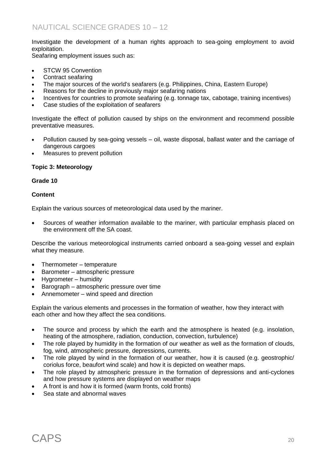Investigate the development of a human rights approach to sea-going employment to avoid exploitation.

Seafaring employment issues such as:

- STCW 95 Convention
- Contract seafaring
- The major sources of the world's seafarers (e.g. Philippines, China, Eastern Europe)
- Reasons for the decline in previously major seafaring nations
- Incentives for countries to promote seafaring (e.g. tonnage tax, cabotage, training incentives)
- Case studies of the exploitation of seafarers

Investigate the effect of pollution caused by ships on the environment and recommend possible preventative measures.

- Pollution caused by sea-going vessels oil, waste disposal, ballast water and the carriage of dangerous cargoes
- Measures to prevent pollution

#### **Topic 3: Meteorology**

#### **Grade 10**

#### **Content**

Explain the various sources of meteorological data used by the mariner.

 Sources of weather information available to the mariner, with particular emphasis placed on the environment off the SA coast.

Describe the various meteorological instruments carried onboard a sea-going vessel and explain what they measure.

- Thermometer temperature
- Barometer atmospheric pressure
- Hygrometer humidity
- $\bullet$  Barograph atmospheric pressure over time
- Annemometer wind speed and direction

Explain the various elements and processes in the formation of weather, how they interact with each other and how they affect the sea conditions.

- The source and process by which the earth and the atmosphere is heated (e.g. insolation, heating of the atmosphere, radiation, conduction, convection, turbulence)
- The role played by humidity in the formation of our weather as well as the formation of clouds, fog, wind, atmospheric pressure, depressions, currents.
- The role played by wind in the formation of our weather, how it is caused (e.g. geostrophic/ coriolus force, beaufort wind scale) and how it is depicted on weather maps.
- The role played by atmospheric pressure in the formation of depressions and anti-cyclones and how pressure systems are displayed on weather maps
- A front is and how it is formed (warm fronts, cold fronts)
- Sea state and abnormal waves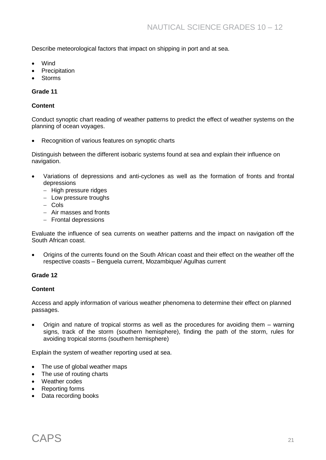Describe meteorological factors that impact on shipping in port and at sea.

- Wind
- Precipitation
- Storms

#### **Grade 11**

#### **Content**

Conduct synoptic chart reading of weather patterns to predict the effect of weather systems on the planning of ocean voyages.

• Recognition of various features on synoptic charts

Distinguish between the different isobaric systems found at sea and explain their influence on navigation.

- Variations of depressions and anti-cyclones as well as the formation of fronts and frontal depressions
	- $-$  High pressure ridges
	- Low pressure troughs
	- Cols
	- Air masses and fronts
	- Frontal depressions

Evaluate the influence of sea currents on weather patterns and the impact on navigation off the South African coast.

 Origins of the currents found on the South African coast and their effect on the weather off the respective coasts – Benguela current, Mozambique/ Agulhas current

#### **Grade 12**

#### **Content**

Access and apply information of various weather phenomena to determine their effect on planned passages.

 Origin and nature of tropical storms as well as the procedures for avoiding them – warning signs, track of the storm (southern hemisphere), finding the path of the storm, rules for avoiding tropical storms (southern hemisphere)

Explain the system of weather reporting used at sea.

- The use of global weather maps
- The use of routing charts
- Weather codes
- Reporting forms
- Data recording books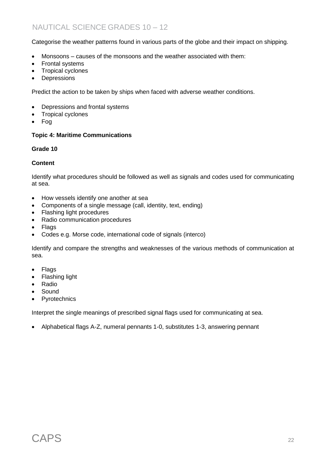Categorise the weather patterns found in various parts of the globe and their impact on shipping.

- Monsoons causes of the monsoons and the weather associated with them:
- Frontal systems
- Tropical cyclones
- Depressions

Predict the action to be taken by ships when faced with adverse weather conditions.

- Depressions and frontal systems
- Tropical cyclones
- Fog

#### **Topic 4: Maritime Communications**

#### **Grade 10**

#### **Content**

Identify what procedures should be followed as well as signals and codes used for communicating at sea.

- How vessels identify one another at sea
- Components of a single message (call, identity, text, ending)
- Flashing light procedures
- Radio communication procedures
- Flags
- Codes e.g. Morse code, international code of signals (interco)

Identify and compare the strengths and weaknesses of the various methods of communication at sea.

- Flags
- Flashing light
- Radio
- Sound
- Pyrotechnics

Interpret the single meanings of prescribed signal flags used for communicating at sea.

Alphabetical flags A-Z, numeral pennants 1-0, substitutes 1-3, answering pennant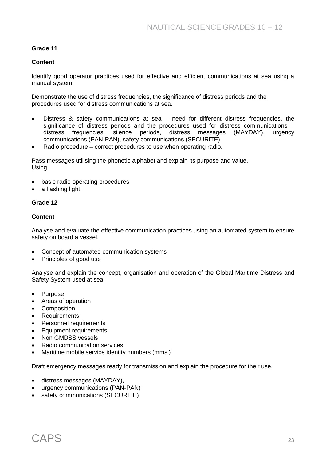#### **Grade 11**

#### **Content**

Identify good operator practices used for effective and efficient communications at sea using a manual system.

Demonstrate the use of distress frequencies, the significance of distress periods and the procedures used for distress communications at sea.

- Distress & safety communications at sea need for different distress frequencies, the significance of distress periods and the procedures used for distress communications – distress frequencies, silence periods, distress messages (MAYDAY), urgency communications (PAN-PAN), safety communications (SECURITE)
- Radio procedure correct procedures to use when operating radio.

Pass messages utilising the phonetic alphabet and explain its purpose and value. Using:

- basic radio operating procedures
- a flashing light.

#### **Grade 12**

#### **Content**

Analyse and evaluate the effective communication practices using an automated system to ensure safety on board a vessel.

- Concept of automated communication systems
- Principles of good use

Analyse and explain the concept, organisation and operation of the Global Maritime Distress and Safety System used at sea.

- Purpose
- Areas of operation
- Composition
- Requirements
- Personnel requirements
- Equipment requirements
- Non GMDSS vessels
- Radio communication services
- Maritime mobile service identity numbers (mmsi)

Draft emergency messages ready for transmission and explain the procedure for their use.

- distress messages (MAYDAY),
- urgency communications (PAN-PAN)
- safety communications (SECURITE)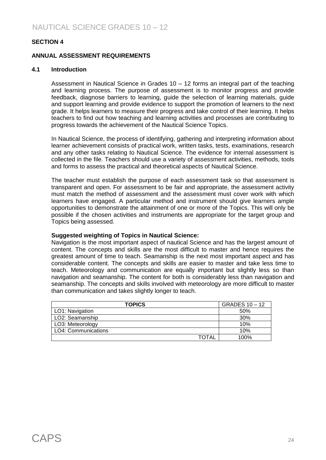#### **SECTION 4**

#### **ANNUAL ASSESSMENT REQUIREMENTS**

#### **4.1 Introduction**

Assessment in Nautical Science in Grades 10 – 12 forms an integral part of the teaching and learning process. The purpose of assessment is to monitor progress and provide feedback, diagnose barriers to learning, guide the selection of learning materials, guide and support learning and provide evidence to support the promotion of learners to the next grade. It helps learners to measure their progress and take control of their learning. It helps teachers to find out how teaching and learning activities and processes are contributing to progress towards the achievement of the Nautical Science Topics.

In Nautical Science, the process of identifying, gathering and interpreting information about learner achievement consists of practical work, written tasks, tests, examinations, research and any other tasks relating to Nautical Science. The evidence for internal assessment is collected in the file. Teachers should use a variety of assessment activities, methods, tools and forms to assess the practical and theoretical aspects of Nautical Science.

The teacher must establish the purpose of each assessment task so that assessment is transparent and open. For assessment to be fair and appropriate, the assessment activity must match the method of assessment and the assessment must cover work with which learners have engaged. A particular method and instrument should give learners ample opportunities to demonstrate the attainment of one or more of the Topics. This will only be possible if the chosen activities and instruments are appropriate for the target group and Topics being assessed.

#### **Suggested weighting of Topics in Nautical Science:**

Navigation is the most important aspect of nautical Science and has the largest amount of content. The concepts and skills are the most difficult to master and hence requires the greatest amount of time to teach. Seamanship is the next most important aspect and has considerable content. The concepts and skills are easier to master and take less time to teach. Meteorology and communication are equally important but slightly less so than navigation and seamanship. The content for both is considerably less than navigation and seamanship. The concepts and skills involved with meteorology are more difficult to master than communication and takes slightly longer to teach.

| <b>TOPICS</b>       | GRADES 10 - 12 |
|---------------------|----------------|
| LO1: Navigation     | 50%            |
| LO2: Seamanship     | 30%            |
| LO3: Meteorology    | 10%            |
| LO4: Communications | 10%            |
| TOTAL               | 100%           |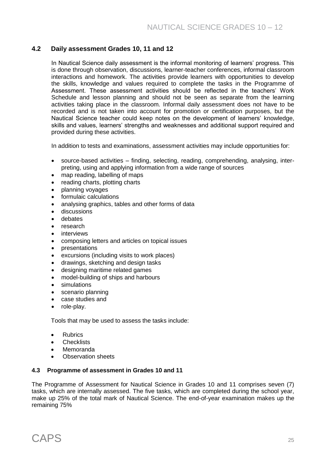## **4.2 Daily assessment Grades 10, 11 and 12**

In Nautical Science daily assessment is the informal monitoring of learners' progress. This is done through observation, discussions, learner-teacher conferences, informal classroom interactions and homework. The activities provide learners with opportunities to develop the skills, knowledge and values required to complete the tasks in the Programme of Assessment. These assessment activities should be reflected in the teachers' Work Schedule and lesson planning and should not be seen as separate from the learning activities taking place in the classroom*.* Informal daily assessment does not have to be recorded and is not taken into account for promotion or certification purposes, but the Nautical Science teacher could keep notes on the development of learners' knowledge, skills and values, learners' strengths and weaknesses and additional support required and provided during these activities.

In addition to tests and examinations, assessment activities may include opportunities for:

- source-based activities finding, selecting, reading, comprehending, analysing, interpreting, using and applying information from a wide range of sources
- map reading, labelling of maps
- reading charts, plotting charts
- planning voyages
- formulaic calculations
- analysing graphics, tables and other forms of data
- discussions
- debates
- research
- interviews
- composing letters and articles on topical issues
- presentations
- excursions (including visits to work places)
- drawings, sketching and design tasks
- designing maritime related games
- model-building of ships and harbours
- simulations
- scenario planning
- case studies and
- role-play.

Tools that may be used to assess the tasks include:

- **•** Rubrics
- **Checklists**
- Memoranda
- Observation sheets

#### **4.3 Programme of assessment in Grades 10 and 11**

The Programme of Assessment for Nautical Science in Grades 10 and 11 comprises seven (7) tasks, which are internally assessed. The five tasks, which are completed during the school year, make up 25% of the total mark of Nautical Science. The end-of-year examination makes up the remaining 75%

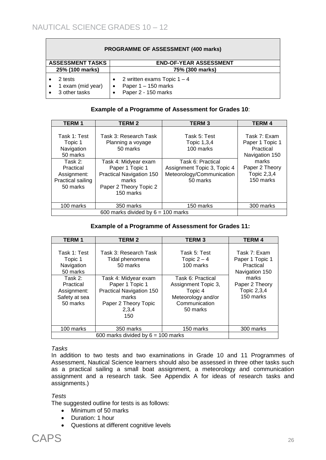| <b>PROGRAMME OF ASSESSMENT (400 marks)</b>    |                                                                               |  |
|-----------------------------------------------|-------------------------------------------------------------------------------|--|
| <b>ASSESSMENT TASKS</b>                       | <b>END-OF-YEAR ASSESSMENT</b>                                                 |  |
| 25% (100 marks)                               | 75% (300 marks)                                                               |  |
| 2 tests<br>1 exam (mid year)<br>3 other tasks | 2 written exams Topic $1 - 4$<br>Paper $1 - 150$ marks<br>Paper 2 - 150 marks |  |

#### **Example of a Programme of Assessment for Grades 10**:

| <b>TERM1</b>                                                         | <b>TERM2</b>                                                                                                        | <b>TERM3</b>                                                                              | <b>TERM4</b>                                                   |
|----------------------------------------------------------------------|---------------------------------------------------------------------------------------------------------------------|-------------------------------------------------------------------------------------------|----------------------------------------------------------------|
| Task 1: Test<br>Topic 1<br>Navigation<br>50 marks                    | Task 3: Research Task<br>Planning a voyage<br>50 marks                                                              | Task 5: Test<br>Topic 1,3,4<br>100 marks                                                  | Task 7: Exam<br>Paper 1 Topic 1<br>Practical<br>Navigation 150 |
| Task 2:<br>Practical<br>Assignment:<br>Practical sailing<br>50 marks | Task 4: Midyear exam<br>Paper 1 Topic 1<br>Practical Navigation 150<br>marks<br>Paper 2 Theory Topic 2<br>150 marks | Task 6: Practical<br>Assignment Topic 3, Topic 4<br>Meteorology/Communication<br>50 marks | marks<br>Paper 2 Theory<br>Topic 2,3,4<br>150 marks            |
| 100 marks                                                            | 350 marks                                                                                                           | 150 marks                                                                                 | 300 marks                                                      |
|                                                                      | 600 marks divided by $6 = 100$ marks                                                                                |                                                                                           |                                                                |

#### **Example of a Programme of Assessment for Grades 11:**

| <b>TERM1</b>                                                                                                          | <b>TERM 2</b>                                                                                                                                                                | <b>TERM3</b>                                                                                                                                         | <b>TERM 4</b>                                                                                                         |
|-----------------------------------------------------------------------------------------------------------------------|------------------------------------------------------------------------------------------------------------------------------------------------------------------------------|------------------------------------------------------------------------------------------------------------------------------------------------------|-----------------------------------------------------------------------------------------------------------------------|
| Task 1: Test<br>Topic 1<br>Navigation<br>50 marks<br>Task 2:<br>Practical<br>Assignment:<br>Safety at sea<br>50 marks | Task 3: Research Task<br>Tidal phenomena<br>50 marks<br>Task 4: Midyear exam<br>Paper 1 Topic 1<br>Practical Navigation 150<br>marks<br>Paper 2 Theory Topic<br>2,3,4<br>150 | Task 5: Test<br>Topic $2 - 4$<br>100 marks<br>Task 6: Practical<br>Assignment Topic 3,<br>Topic 4<br>Meteorology and/or<br>Communication<br>50 marks | Task 7: Exam<br>Paper 1 Topic 1<br>Practical<br>Navigation 150<br>marks<br>Paper 2 Theory<br>Topic 2,3,4<br>150 marks |
| 100 marks                                                                                                             | 350 marks                                                                                                                                                                    | 150 marks                                                                                                                                            | 300 marks                                                                                                             |
|                                                                                                                       | 600 marks divided by $6 = 100$ marks                                                                                                                                         |                                                                                                                                                      |                                                                                                                       |

#### *Tasks*

In addition to two tests and two examinations in Grade 10 and 11 Programmes of Assessment, Nautical Science learners should also be assessed in three other tasks such as a practical sailing a small boat assignment, a meteorology and communication assignment and a research task. See Appendix A for ideas of research tasks and assignments.)

*Tests*

The suggested outline for tests is as follows:

- Minimum of 50 marks
- Duration: 1 hour
- Questions at different cognitive levels

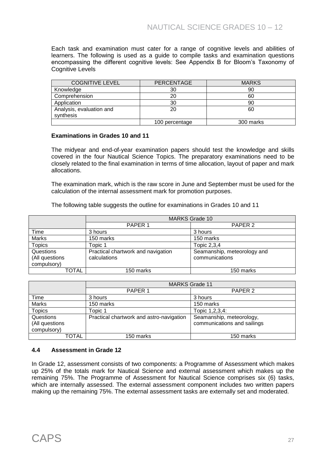Each task and examination must cater for a range of cognitive levels and abilities of learners. The following is used as a guide to compile tasks and examination questions encompassing the different cognitive levels: See Appendix B for Bloom's Taxonomy of Cognitive Levels

| <b>COGNITIVE LEVEL</b>   | PERCENTAGE     | <b>MARKS</b> |
|--------------------------|----------------|--------------|
| Knowledge                | 30             | 90           |
| Comprehension            | 20             | 60           |
| Application              | 30             | 90           |
| Analysis, evaluation and | 20             | 60           |
| synthesis                |                |              |
|                          | 100 percentage | 300 marks    |

#### **Examinations in Grades 10 and 11**

The midyear and end-of-year examination papers should test the knowledge and skills covered in the four Nautical Science Topics. The preparatory examinations need to be closely related to the final examination in terms of time allocation, layout of paper and mark allocations.

The examination mark, which is the raw score in June and September must be used for the calculation of the internal assessment mark for promotion purposes.

The following table suggests the outline for examinations in Grades 10 and 11

|                | <b>MARKS Grade 10</b>              |                             |
|----------------|------------------------------------|-----------------------------|
|                | PAPER 1                            | PAPER <sub>2</sub>          |
| Time           | 3 hours                            | 3 hours                     |
| <b>Marks</b>   | 150 marks                          | 150 marks                   |
| <b>Topics</b>  | Topic 1                            | Topic 2,3,4                 |
| Questions      | Practical chartwork and navigation | Seamanship, meteorology and |
| (All questions | calculations                       | communications              |
| compulsory)    |                                    |                             |
| TOTAL          | 150 marks                          | 150 marks                   |
|                |                                    |                             |

|                | <b>MARKS Grade 11</b>                    |                             |
|----------------|------------------------------------------|-----------------------------|
|                | PAPER <sub>1</sub>                       | PAPER <sub>2</sub>          |
| Time           | 3 hours                                  | 3 hours                     |
| <b>Marks</b>   | 150 marks                                | 150 marks                   |
| <b>Topics</b>  | Topic 1                                  | Topic 1, 2, 3, 4:           |
| Questions      | Practical chartwork and astro-navigation | Seamanship, meteorology,    |
| (All questions |                                          | communications and sailings |
| compulsory)    |                                          |                             |
| TOTAL          | 150 marks                                | 150 marks                   |

#### **4.4 Assessment in Grade 12**

In Grade 12, assessment consists of two components: a Programme of Assessment which makes up 25% of the totals mark for Nautical Science and external assessment which makes up the remaining 75%. The Programme of Assessment for Nautical Science comprises six (6) tasks, which are internally assessed. The external assessment component includes two written papers making up the remaining 75%. The external assessment tasks are externally set and moderated.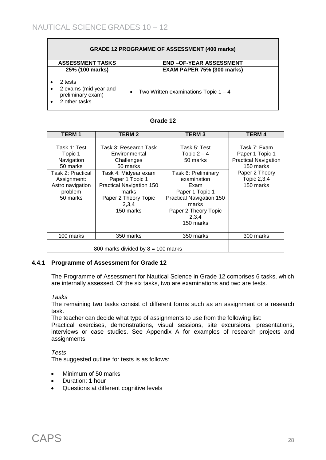| <b>GRADE 12 PROGRAMME OF ASSESSMENT (400 marks)</b>                    |                                                     |  |  |  |  |
|------------------------------------------------------------------------|-----------------------------------------------------|--|--|--|--|
| <b>ASSESSMENT TASKS</b><br><b>END-OF-YEAR ASSESSMENT</b>               |                                                     |  |  |  |  |
| 25% (100 marks)                                                        | <b>EXAM PAPER 75% (300 marks)</b>                   |  |  |  |  |
| 2 tests<br>2 exams (mid year and<br>preliminary exam)<br>2 other tasks | Two Written examinations Topic $1 - 4$<br>$\bullet$ |  |  |  |  |

| Grade 12 |  |
|----------|--|
|----------|--|

| <b>TERM1</b>                                                                                                                     | <b>TERM 2</b>                                                                                                                                                                                  | <b>TERM3</b>                                                                                                                                                                                  | <b>TERM 4</b>                                                                                                             |
|----------------------------------------------------------------------------------------------------------------------------------|------------------------------------------------------------------------------------------------------------------------------------------------------------------------------------------------|-----------------------------------------------------------------------------------------------------------------------------------------------------------------------------------------------|---------------------------------------------------------------------------------------------------------------------------|
| Task 1: Test<br>Topic 1<br>Navigation<br>50 marks<br>Task 2: Practical<br>Assignment:<br>Astro navigation<br>problem<br>50 marks | Task 3: Research Task<br>Environmental<br>Challenges<br>50 marks<br>Task 4: Midyear exam<br>Paper 1 Topic 1<br>Practical Navigation 150<br>marks<br>Paper 2 Theory Topic<br>2,3,4<br>150 marks | Task 5: Test<br>Topic $2 - 4$<br>50 marks<br>Task 6: Preliminary<br>examination<br>Exam<br>Paper 1 Topic 1<br>Practical Navigation 150<br>marks<br>Paper 2 Theory Topic<br>2,3,4<br>150 marks | Task 7: Exam<br>Paper 1 Topic 1<br><b>Practical Navigation</b><br>150 marks<br>Paper 2 Theory<br>Topic 2,3,4<br>150 marks |
| 100 marks                                                                                                                        | 350 marks                                                                                                                                                                                      | 350 marks                                                                                                                                                                                     | 300 marks                                                                                                                 |
| 800 marks divided by $8 = 100$ marks                                                                                             |                                                                                                                                                                                                |                                                                                                                                                                                               |                                                                                                                           |

#### **4.4.1 Programme of Assessment for Grade 12**

The Programme of Assessment for Nautical Science in Grade 12 comprises 6 tasks, which are internally assessed. Of the six tasks, two are examinations and two are tests.

#### *Tasks*

The remaining two tasks consist of different forms such as an assignment or a research task.

The teacher can decide what type of assignments to use from the following list:

Practical exercises, demonstrations, visual sessions, site excursions, presentations, interviews or case studies. See Appendix A for examples of research projects and assignments.

#### *Tests*

The suggested outline for tests is as follows:

- Minimum of 50 marks
- Duration: 1 hour
- Questions at different cognitive levels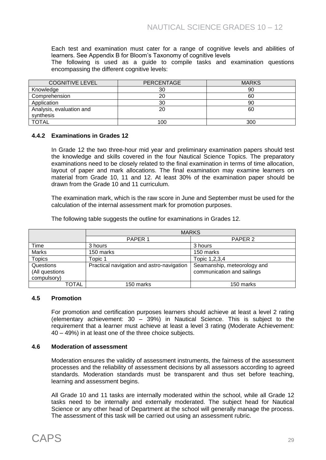Each test and examination must cater for a range of cognitive levels and abilities of learners. See Appendix B for Bloom's Taxonomy of cognitive levels

The following is used as a guide to compile tasks and examination questions encompassing the different cognitive levels:

| <b>COGNITIVE LEVEL</b>   | <b>PERCENTAGE</b> | <b>MARKS</b> |
|--------------------------|-------------------|--------------|
| Knowledge                | 30                | 90           |
| Comprehension            | 20                | 60           |
| Application              | 30                | 90           |
| Analysis, evaluation and | 20                | 60           |
| synthesis                |                   |              |
| <b>TOTAL</b>             | 100               | 300          |

#### **4.4.2 Examinations in Grades 12**

In Grade 12 the two three-hour mid year and preliminary examination papers should test the knowledge and skills covered in the four Nautical Science Topics. The preparatory examinations need to be closely related to the final examination in terms of time allocation, layout of paper and mark allocations. The final examination may examine learners on material from Grade 10, 11 and 12. At least 30% of the examination paper should be drawn from the Grade 10 and 11 curriculum.

The examination mark, which is the raw score in June and September must be used for the calculation of the internal assessment mark for promotion purposes.

The following table suggests the outline for examinations in Grades 12.

|                | <b>MARKS</b>                              |                             |  |  |  |
|----------------|-------------------------------------------|-----------------------------|--|--|--|
|                | PAPER <sub>1</sub>                        | PAPER <sub>2</sub>          |  |  |  |
| Time           | 3 hours                                   | 3 hours                     |  |  |  |
| Marks          | 150 marks                                 | 150 marks                   |  |  |  |
| <b>Topics</b>  | Topic 1                                   | Topic 1,2,3,4               |  |  |  |
| Questions      | Practical navigation and astro-navigation | Seamanship, meteorology and |  |  |  |
| (All questions |                                           | communication and sailings  |  |  |  |
| compulsory)    |                                           |                             |  |  |  |
| TOTAL          | 150 marks                                 | 150 marks                   |  |  |  |

#### **4.5 Promotion**

For promotion and certification purposes learners should achieve at least a level 2 rating (elementary achievement: 30 – 39%) in Nautical Science. This is subject to the requirement that a learner must achieve at least a level 3 rating (Moderate Achievement: 40 – 49%) in at least one of the three choice subjects.

#### **4.6 Moderation of assessment**

Moderation ensures the validity of assessment instruments, the fairness of the assessment processes and the reliability of assessment decisions by all assessors according to agreed standards. Moderation standards must be transparent and thus set before teaching, learning and assessment begins.

All Grade 10 and 11 tasks are internally moderated within the school, while all Grade 12 tasks need to be internally and externally moderated. The subject head for Nautical Science or any other head of Department at the school will generally manage the process. The assessment of this task will be carried out using an assessment rubric.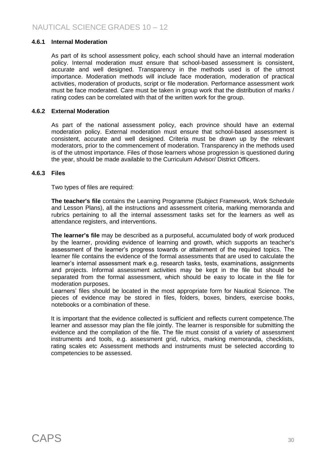#### **4.6.1 Internal Moderation**

As part of its school assessment policy, each school should have an internal moderation policy. Internal moderation must ensure that school-based assessment is consistent, accurate and well designed. Transparency in the methods used is of the utmost importance. Moderation methods will include face moderation, moderation of practical activities, moderation of products, script or file moderation. Performance assessment work must be face moderated. Care must be taken in group work that the distribution of marks / rating codes can be correlated with that of the written work for the group.

#### **4.6.2 External Moderation**

As part of the national assessment policy, each province should have an external moderation policy. External moderation must ensure that school-based assessment is consistent, accurate and well designed. Criteria must be drawn up by the relevant moderators, prior to the commencement of moderation. Transparency in the methods used is of the utmost importance. Files of those learners whose progression is questioned during the year, should be made available to the Curriculum Advisor/ District Officers.

#### **4.6.3 Files**

Two types of files are required:

**The teacher's file** contains the Learning Programme (Subject Framework, Work Schedule and Lesson Plans), all the instructions and assessment criteria, marking memoranda and rubrics pertaining to all the internal assessment tasks set for the learners as well as attendance registers, and interventions.

**The learner's file** may be described as a purposeful, accumulated body of work produced by the learner, providing evidence of learning and growth, which supports an teacher's assessment of the learner's progress towards or attainment of the required topics. The learner file contains the evidence of the formal assessments that are used to calculate the learner's internal assessment mark e.g. research tasks, tests, examinations, assignments and projects. Informal assessment activities may be kept in the file but should be separated from the formal assessment, which should be easy to locate in the file for moderation purposes.

Learners' files should be located in the most appropriate form for Nautical Science. The pieces of evidence may be stored in files, folders, boxes, binders, exercise books, notebooks or a combination of these.

It is important that the evidence collected is sufficient and reflects current competence.The learner and assessor may plan the file jointly. The learner is responsible for submitting the evidence and the compilation of the file. The file must consist of a variety of assessment instruments and tools, e.g. assessment grid, rubrics, marking memoranda, checklists, rating scales etc Assessment methods and instruments must be selected according to competencies to be assessed.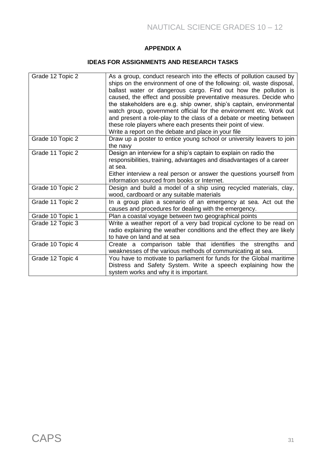## **APPENDIX A**

#### **IDEAS FOR ASSIGNMENTS AND RESEARCH TASKS**

| Grade 12 Topic 2 | As a group, conduct research into the effects of pollution caused by<br>ships on the environment of one of the following: oil, waste disposal,<br>ballast water or dangerous cargo. Find out how the pollution is<br>caused, the effect and possible preventative measures. Decide who<br>the stakeholders are e.g. ship owner, ship's captain, environmental<br>watch group, government official for the environment etc. Work out<br>and present a role-play to the class of a debate or meeting between<br>these role players where each presents their point of view.<br>Write a report on the debate and place in your file |
|------------------|----------------------------------------------------------------------------------------------------------------------------------------------------------------------------------------------------------------------------------------------------------------------------------------------------------------------------------------------------------------------------------------------------------------------------------------------------------------------------------------------------------------------------------------------------------------------------------------------------------------------------------|
| Grade 10 Topic 2 | Draw up a poster to entice young school or university leavers to join<br>the navy                                                                                                                                                                                                                                                                                                                                                                                                                                                                                                                                                |
| Grade 11 Topic 2 | Design an interview for a ship's captain to explain on radio the<br>responsibilities, training, advantages and disadvantages of a career<br>at sea.<br>Either interview a real person or answer the questions yourself from<br>information sourced from books or Internet.                                                                                                                                                                                                                                                                                                                                                       |
| Grade 10 Topic 2 | Design and build a model of a ship using recycled materials, clay,<br>wood, cardboard or any suitable materials                                                                                                                                                                                                                                                                                                                                                                                                                                                                                                                  |
| Grade 11 Topic 2 | In a group plan a scenario of an emergency at sea. Act out the<br>causes and procedures for dealing with the emergency.                                                                                                                                                                                                                                                                                                                                                                                                                                                                                                          |
| Grade 10 Topic 1 | Plan a coastal voyage between two geographical points                                                                                                                                                                                                                                                                                                                                                                                                                                                                                                                                                                            |
| Grade 12 Topic 3 | Write a weather report of a very bad tropical cyclone to be read on<br>radio explaining the weather conditions and the effect they are likely<br>to have on land and at sea                                                                                                                                                                                                                                                                                                                                                                                                                                                      |
| Grade 10 Topic 4 | Create a comparison table that identifies the strengths and<br>weaknesses of the various methods of communicating at sea.                                                                                                                                                                                                                                                                                                                                                                                                                                                                                                        |
| Grade 12 Topic 4 | You have to motivate to parliament for funds for the Global maritime<br>Distress and Safety System. Write a speech explaining how the<br>system works and why it is important.                                                                                                                                                                                                                                                                                                                                                                                                                                                   |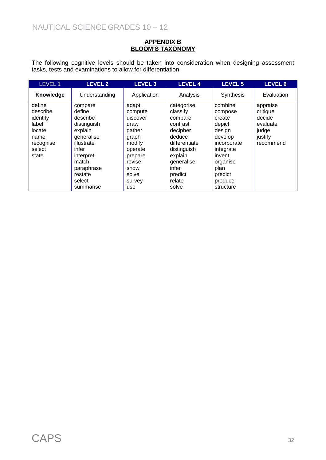#### **APPENDIX B BLOOM'S TAXONOMY**

The following cognitive levels should be taken into consideration when designing assessment tasks, tests and examinations to allow for differentiation.

| LEVEL 1   | <b>LEVEL 2</b> | <b>LEVEL 3</b> |               | <b>LEVEL 5</b>   | <b>LEVEL 6</b> |
|-----------|----------------|----------------|---------------|------------------|----------------|
| Knowledge | Understanding  | Application    | Analysis      | <b>Synthesis</b> | Evaluation     |
| define    | compare        | adapt          | categorise    | combine          | appraise       |
| describe  | define         | compute        | classify      | compose          | critique       |
| identify  | describe       | discover       | compare       | create           | decide         |
| label     | distinguish    | draw           | contrast      | depict           | evaluate       |
| locate    | explain        | gather         | decipher      | design           | judge          |
| name      | generalise     | graph          | deduce        | develop          | justify        |
| recognise | illustrate     | modify         | differentiate | incorporate      | recommend      |
| select    | infer          | operate        | distinguish   | integrate        |                |
| state     | interpret      | prepare        | explain       | invent           |                |
|           | match          | revise         | generalise    | organise         |                |
|           | paraphrase     | show           | infer         | plan             |                |
|           | restate        | solve          | predict       | predict          |                |
|           | select         | survey         | relate        | produce          |                |
|           | summarise      | use            | solve         | structure        |                |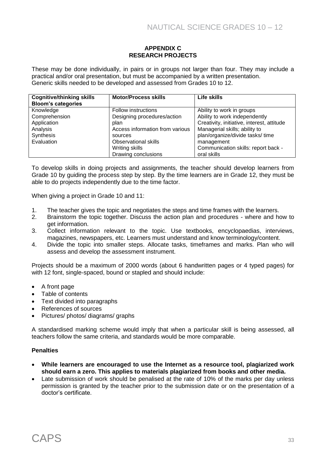#### **APPENDIX C RESEARCH PROJECTS**

These may be done individually, in pairs or in groups not larger than four. They may include a practical and/or oral presentation, but must be accompanied by a written presentation. Generic skills needed to be developed and assessed from Grades 10 to 12.

| <b>Cognitive/thinking skills</b><br><b>Bloom's categories</b> | <b>Motor/Process skills</b>     | Life skills                                |
|---------------------------------------------------------------|---------------------------------|--------------------------------------------|
| Knowledge                                                     | Follow instructions             | Ability to work in groups                  |
| Comprehension                                                 | Designing procedures/action     | Ability to work independently              |
| Application                                                   | plan                            | Creativity, initiative, interest, attitude |
| Analysis                                                      | Access information from various | Managerial skills; ability to              |
| Synthesis                                                     | sources                         | plan/organize/divide tasks/ time           |
| Evaluation                                                    | <b>Observational skills</b>     | management                                 |
|                                                               | Writing skills                  | Communication skills: report back -        |
|                                                               | Drawing conclusions             | oral skills                                |

To develop skills in doing projects and assignments, the teacher should develop learners from Grade 10 by guiding the process step by step. By the time learners are in Grade 12, they must be able to do projects independently due to the time factor.

When giving a project in Grade 10 and 11:

- 1. The teacher gives the topic and negotiates the steps and time frames with the learners.
- 2. Brainstorm the topic together. Discuss the action plan and procedures where and how to get information.
- 3. Collect information relevant to the topic. Use textbooks, encyclopaedias, interviews, magazines, newspapers, etc. Learners must understand and know terminology/content.
- 4. Divide the topic into smaller steps. Allocate tasks, timeframes and marks. Plan who will assess and develop the assessment instrument.

Projects should be a maximum of 2000 words (about 6 handwritten pages or 4 typed pages) for with 12 font, single-spaced, bound or stapled and should include:

- A front page
- Table of contents
- Text divided into paragraphs
- References of sources
- Pictures/ photos/ diagrams/ graphs

A standardised marking scheme would imply that when a particular skill is being assessed, all teachers follow the same criteria, and standards would be more comparable.

#### **Penalties**

- **While learners are encouraged to use the Internet as a resource tool, plagiarized work should earn a zero. This applies to materials plagiarized from books and other media.**
- Late submission of work should be penalised at the rate of 10% of the marks per day unless permission is granted by the teacher prior to the submission date or on the presentation of a doctor's certificate.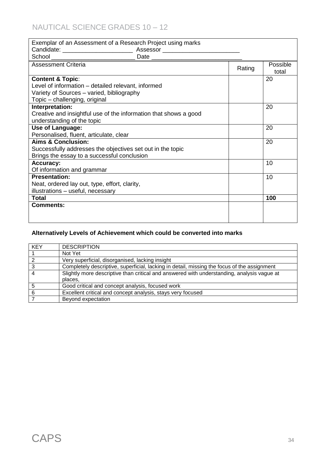# NAUTICAL SCIENCE GRADES 10 – 12

| Exemplar of an Assessment of a Research Project using marks      |        |          |
|------------------------------------------------------------------|--------|----------|
|                                                                  |        |          |
|                                                                  |        |          |
| <b>Assessment Criteria</b>                                       | Rating | Possible |
|                                                                  |        | total    |
| <b>Content &amp; Topic:</b>                                      |        | 20       |
| Level of information - detailed relevant, informed               |        |          |
| Variety of Sources - varied, bibliography                        |        |          |
| Topic - challenging, original                                    |        |          |
| Interpretation:                                                  |        | 20       |
| Creative and insightful use of the information that shows a good |        |          |
| understanding of the topic                                       |        |          |
| <b>Use of Language:</b>                                          |        | 20       |
| Personalised, fluent, articulate, clear                          |        |          |
| Aims & Conclusion:                                               |        | 20       |
| Successfully addresses the objectives set out in the topic       |        |          |
| Brings the essay to a successful conclusion                      |        |          |
| <b>Accuracy:</b>                                                 |        | 10       |
| Of information and grammar                                       |        |          |
| <b>Presentation:</b>                                             |        | 10       |
| Neat, ordered lay out, type, effort, clarity,                    |        |          |
| illustrations - useful, necessary                                |        |          |
| Total                                                            |        | 100      |
| <b>Comments:</b>                                                 |        |          |
|                                                                  |        |          |
|                                                                  |        |          |

# **Alternatively Levels of Achievement which could be converted into marks**

| <b>KEY</b> | <b>DESCRIPTION</b>                                                                          |
|------------|---------------------------------------------------------------------------------------------|
|            | Not Yet                                                                                     |
|            | Very superficial, disorganised, lacking insight                                             |
| ົ          | Completely descriptive, superficial, lacking in detail, missing the focus of the assignment |
|            | Slightly more descriptive than critical and answered with understanding, analysis vague at  |
|            | places.                                                                                     |
|            | Good critical and concept analysis, focused work                                            |
| 6          | Excellent critical and concept analysis, stays very focused                                 |
|            | Beyond expectation                                                                          |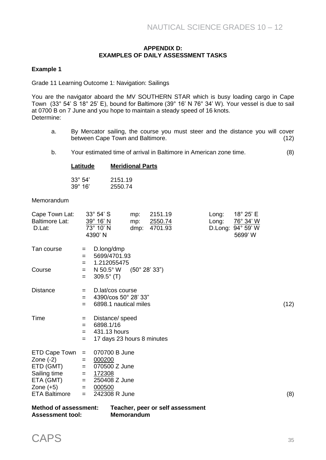#### **APPENDIX D: EXAMPLES OF DAILY ASSESSMENT TASKS**

#### **Example 1**

Grade 11 Learning Outcome 1: Navigation: Sailings

You are the navigator aboard the MV SOUTHERN STAR which is busy loading cargo in Cape Town (33° 54' S 18° 25' E), bound for Baltimore (39° 16' N 76° 34' W). Your vessel is due to sail at 0700 B on 7 June and you hope to maintain a steady speed of 16 knots. Determine:

- a. By Mercator sailing, the course you must steer and the distance you will cover between Cape Town and Baltimore. (12)
- b. Your estimated time of arrival in Baltimore in American zone time. (8)

| Latitude         | <b>Meridional Parts</b> |
|------------------|-------------------------|
|                  |                         |
| $33^{\circ} 54'$ | 2151.19                 |
| $39^\circ 16'$   | 2550.74                 |

#### Memorandum

| Cape Town Lat:<br><b>Baltimore Lat:</b><br>D.Lat:         |                        | $33^\circ 54' S$<br>39° 16' N<br>73° 10' N<br>4390' N                      | mp:<br>mp:<br>dmp:                 | 2151.19<br><u> 2550.74</u><br>4701.93 |                                  | Long:<br>Long: | 18° 25' E<br>76° 34' W<br>D.Long: 94° 59' W<br>5699' W |      |
|-----------------------------------------------------------|------------------------|----------------------------------------------------------------------------|------------------------------------|---------------------------------------|----------------------------------|----------------|--------------------------------------------------------|------|
| Tan course                                                | $=$<br>$=$             | D.long/dmp<br>5699/4701.93<br>1.212055475                                  |                                    |                                       |                                  |                |                                                        |      |
| Course                                                    | $=$<br>$=$<br>$=$      | N 50.5° W<br>$309.5^{\circ}$ (T)                                           | $(50^\circ\ 28^\prime\ 33^\prime)$ |                                       |                                  |                |                                                        |      |
| <b>Distance</b>                                           | $=$<br>$=$<br>$=$      | D.lat/cos course<br>4390/cos 50° 28' 33"<br>6898.1 nautical miles          |                                    |                                       |                                  |                |                                                        | (12) |
| Time                                                      | $=$<br>=<br>$=$<br>$=$ | Distance/ speed<br>6898.1/16<br>431.13 hours<br>17 days 23 hours 8 minutes |                                    |                                       |                                  |                |                                                        |      |
| ETD Cape Town<br>Zone $(-2)$<br>ETD (GMT)<br>Sailing time | $=$<br>$=$<br>$=$      | 070700 B June<br>000200<br>070500 Z June<br>172308                         |                                    |                                       |                                  |                |                                                        |      |
| ETA (GMT)                                                 | $=$<br>$=$             | 250408 Z June                                                              |                                    |                                       |                                  |                |                                                        |      |
| Zone $(+5)$<br><b>ETA Baltimore</b>                       | $=$<br>$=$             | 000500<br>242308 R June                                                    |                                    |                                       |                                  |                |                                                        | (8)  |
| <b>Method of assessment:</b>                              |                        |                                                                            |                                    |                                       | Teacher, peer or self assessment |                |                                                        |      |

| <b>Assessment tool:</b> | ___<br><b>Memorandum</b> |
|-------------------------|--------------------------|
|                         |                          |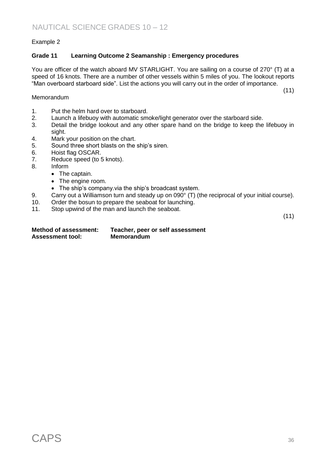#### Example 2

#### **Grade 11 Learning Outcome 2 Seamanship : Emergency procedures**

You are officer of the watch aboard MV STARLIGHT. You are sailing on a course of 270° (T) at a speed of 16 knots. There are a number of other vessels within 5 miles of you. The lookout reports "Man overboard starboard side". List the actions you will carry out in the order of importance.

(11)

- Memorandum
- 1. Put the helm hard over to starboard.
- 2. Launch a lifebuoy with automatic smoke/light generator over the starboard side.
- 3. Detail the bridge lookout and any other spare hand on the bridge to keep the lifebuoy in sight.
- 4. Mark your position on the chart.
- 5. Sound three short blasts on the ship's siren.
- 6. Hoist flag OSCAR.
- 7. Reduce speed (to 5 knots).
- 8. Inform
	- The captain.
	- The engine room.
	- The ship's company.via the ship's broadcast system.
- 9. Carry out a Williamson turn and steady up on 090° (T) (the reciprocal of your initial course).
- 10. Order the bosun to prepare the seaboat for launching.
- 11. Stop upwind of the man and launch the seaboat.

(11)

#### **Method of assessment: Teacher, peer or self assessment Assessment tool: Memorandum**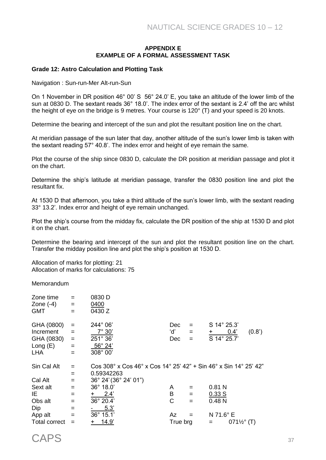#### **APPENDIX E EXAMPLE OF A FORMAL ASSESSMENT TASK**

#### **Grade 12: Astro Calculation and Plotting Task**

Navigation : Sun-run-Mer Alt-run-Sun

On 1 November in DR position 46° 00' S 56° 24.0' E, you take an altitude of the lower limb of the sun at 0830 D. The sextant reads 36° 18.0'. The index error of the sextant is 2.4' off the arc whilst the height of eye on the bridge is 9 metres. Your course is 120° (T) and your speed is 20 knots.

Determine the bearing and intercept of the sun and plot the resultant position line on the chart.

At meridian passage of the sun later that day, another altitude of the sun's lower limb is taken with the sextant reading 57° 40.8'. The index error and height of eye remain the same.

Plot the course of the ship since 0830 D, calculate the DR position at meridian passage and plot it on the chart.

Determine the ship's latitude at meridian passage, transfer the 0830 position line and plot the resultant fix.

At 1530 D that afternoon, you take a third altitude of the sun's lower limb, with the sextant reading 33° 13.2'. Index error and height of eye remain unchanged.

Plot the ship's course from the midday fix, calculate the DR position of the ship at 1530 D and plot it on the chart.

Determine the bearing and intercept of the sun and plot the resultant position line on the chart. Transfer the midday position line and plot the ship's position at 1530 D.

Allocation of marks for plotting: 21 Allocation of marks for calculations: 75

**Memorandum** 

| Zone time            | $=$ | 0830 D                                                           |            |     |             |                        |        |
|----------------------|-----|------------------------------------------------------------------|------------|-----|-------------|------------------------|--------|
| Zone $(-4)$          | $=$ | 0400                                                             |            |     |             |                        |        |
| <b>GMT</b>           | $=$ | 0430 Z                                                           |            |     |             |                        |        |
| GHA (0800)           | $=$ | 244° 06'                                                         | Dec        |     | S 14° 25.3' |                        |        |
| Increment            | $=$ | $7^\circ 30'$                                                    | ʻd'        | $=$ | $+$ $-$     | 0.4'                   | (0.8') |
| GHA (0830)           | $=$ | 251° 36'                                                         | <b>Dec</b> | $=$ | S 14° 25.7' |                        |        |
| Long $(E)$           | $=$ | $56^{\circ}$ 24'                                                 |            |     |             |                        |        |
| <b>LHA</b>           | $=$ | 308° 00'                                                         |            |     |             |                        |        |
| Sin Cal Alt          | $=$ | Cos 308° x Cos 46° x Cos 14° 25' 42" + Sin 46° x Sin 14° 25' 42" |            |     |             |                        |        |
|                      | $=$ | 0.59342263                                                       |            |     |             |                        |        |
| Cal Alt              | $=$ | $36^{\circ}$ 24' (36 $^{\circ}$ 24' 01")                         |            |     |             |                        |        |
| Sext alt             | $=$ | $36^{\circ}$ 18.0'                                               | A          |     | 0.81N       |                        |        |
| IE                   | $=$ | 2.4'<br>$+$                                                      | B          | $=$ | 0.33 S      |                        |        |
| Obs alt              | $=$ | 36° 20.4'                                                        | C          | $=$ | 0.48N       |                        |        |
| Dip                  | $=$ | 5.3'                                                             |            |     |             |                        |        |
| App alt              | $=$ | 36° 15.1'                                                        | Az         |     | N 71.6° E   |                        |        |
| <b>Total correct</b> | $=$ | 14.9'<br>$^+$                                                    | True brg   |     | $=$         | $071\frac{1}{2}$ ° (T) |        |
|                      |     |                                                                  |            |     |             |                        |        |

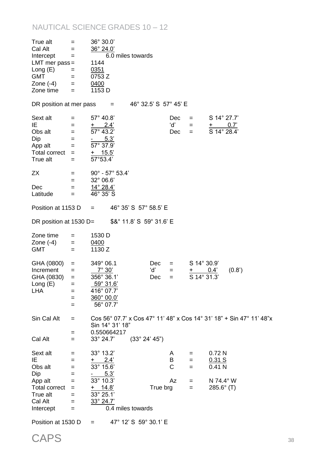# NAUTICAL SCIENCE GRADES 10 – 12

| True alt<br>Cal Alt<br>Intercept<br>LMT mer $pass =$<br>Long $(E)$<br><b>GMT</b><br>Zone $(-4)$<br>Zone time | $=$<br>$=$ $-$<br>$=$<br>$=$<br>$=$<br>$=$<br>$=$ | 36° 30.0'<br>36° 24.0'<br>6.0 miles towards<br>1144<br>0351<br>0753 Z<br>0400<br>1153 D                                          |                          |                   |                              |                                        |                                                                                 |                                                                      |
|--------------------------------------------------------------------------------------------------------------|---------------------------------------------------|----------------------------------------------------------------------------------------------------------------------------------|--------------------------|-------------------|------------------------------|----------------------------------------|---------------------------------------------------------------------------------|----------------------------------------------------------------------|
| DR position at mer pass                                                                                      |                                                   | $=$                                                                                                                              | 46° 32.5' S 57° 45' E    |                   |                              |                                        |                                                                                 |                                                                      |
| Sext alt<br>IE<br>Obs alt<br>Dip<br>App alt<br>Total correct $=$<br>True alt                                 | $=$ $-$<br>$=$<br>$=$ $-$<br>$=$<br>$=$<br>$=$    | $57^{\circ}$ 40.8'<br>$\frac{+}{57^{\circ}} \frac{2.4^{\prime}}{43.2^{\prime}}$<br>$-5.3'$<br>57° 37.9'<br>$+$ 15.5'<br>57°53.4' |                          |                   | Dec<br>d'<br>Dec             | $=$ $-$<br>$=$ $-$<br>$=$ $-$          | S 14° 27.7'<br>$\frac{+}{\text{S}} \frac{0.7^{\circ}}{14^{\circ} 28.4^{\circ}}$ |                                                                      |
| ZX                                                                                                           | $=$                                               | $90^{\circ}$ - $57^{\circ}$ 53.4'                                                                                                |                          |                   |                              |                                        |                                                                                 |                                                                      |
| Dec<br>Latitude                                                                                              | $=$ $-$<br>$=$ $-$<br>$=$                         | $32^{\circ}$ 06.6'<br>14° 28.4'<br>46° 35' S                                                                                     |                          |                   |                              |                                        |                                                                                 |                                                                      |
| Position at 1153 D                                                                                           |                                                   | $=$ $-$                                                                                                                          | 46° 35' S 57° 58.5' E    |                   |                              |                                        |                                                                                 |                                                                      |
| DR position at $1530$ D=                                                                                     |                                                   |                                                                                                                                  | \$&° 11.8' S 59° 31.6' E |                   |                              |                                        |                                                                                 |                                                                      |
| Zone time<br>Zone $(-4)$<br><b>GMT</b>                                                                       | $=$<br>$=$ $-$<br>$=$                             | 1530 D<br>0400<br>1130 Z                                                                                                         |                          |                   |                              |                                        |                                                                                 |                                                                      |
| GHA (0800)<br>Increment<br>GHA (0830)<br>Long $(E)$<br><b>LHA</b>                                            | $=$<br>$=$<br>$=$<br>=<br>$=$<br>$=$<br>$=$       | 349° 06.1<br>$7^\circ 30'$<br>356° 36.1'<br>$\frac{59^{\circ}31.6'}{2}$<br>416° 07.7'<br>360° 00.0'<br>56° 07.7'                 |                          | Dec<br>'d'<br>Dec | $=$ $-$<br>$=$<br>$=$        | S 14° 30.9'<br>$+$ 0.4'<br>S 14° 31.3' |                                                                                 | (0.8')                                                               |
| Sin Cal Alt                                                                                                  | $=$<br>$=$                                        | Sin 14° 31' 18"<br>0.550664217                                                                                                   |                          |                   |                              |                                        |                                                                                 | Cos 56° 07.7' x Cos 47° 11' 48" x Cos 14° 31' 18" + Sin 47° 11' 48"x |
| Cal Alt                                                                                                      | $=$                                               | 33° 24.7'                                                                                                                        | (33° 24' 45")            |                   |                              |                                        |                                                                                 |                                                                      |
| Sext alt<br>IE<br>Obs alt<br>Dip<br>App alt                                                                  | $=$<br>$=$<br>$=$<br>$=$<br>$=$                   | 33° 13.2'<br>$+ 2.4'$<br>33° 15.6'<br>$-$ 5.3'<br>$33^{\circ}$ 10.3'                                                             |                          |                   | A<br>B<br>$\mathsf{C}$<br>Az | $=$<br>$=$<br>$=$                      | 0.72N<br>0.31 S<br>0.41 <sub>N</sub><br>N 74.4° W                               |                                                                      |
| Total correct<br>True alt<br>Cal Alt<br>Intercept                                                            | $=$<br>$=$<br>$=$<br>$=$                          | $+ 14.8'$<br>$33^{\circ} 25.1'$<br>33° 24.7'<br>0.4 miles towards                                                                |                          | True brg          |                              | $=$<br>$=$                             | $285.6^{\circ}$ (T)                                                             |                                                                      |

Position at 1530 D =  $47^{\circ}$  12' S 59° 30.1' E

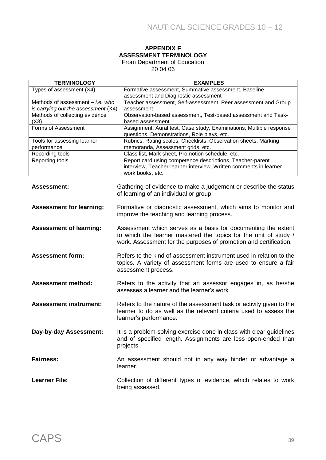#### **APPENDIX F ASSESSMENT TERMINOLOGY** From Department of Education

20 04 06

| <b>TERMINOLOGY</b>                        | <b>EXAMPLES</b>                                                      |
|-------------------------------------------|----------------------------------------------------------------------|
| Types of assessment (X4)                  | Formative assessment, Summative assessment, Baseline                 |
|                                           | assessment and Diagnostic assessment                                 |
| Methods of assessment $-$ <i>i.e.</i> who | Teacher assessment, Self-assessment, Peer assessment and Group       |
| is carrying out the assessment (X4)       | assessment                                                           |
| Methods of collecting evidence            | Observation-based assessment, Test-based assessment and Task-        |
| (X3)                                      | based assessment                                                     |
| Forms of Assessment                       | Assignment, Aural test, Case study, Examinations, Multiple response  |
|                                           | questions, Demonstrations, Role plays, etc.                          |
| Tools for assessing learner               | Rubrics, Rating scales, Checklists, Observation sheets, Marking      |
| performance                               | memoranda, Assessment grids, etc.                                    |
| Recording tools                           | Class list, Mark sheet, Promotion schedule, etc.                     |
| Reporting tools                           | Report card using competence descriptions, Teacher-parent            |
|                                           | interview, Teacher-learner interview, Written comments in learner    |
|                                           | work books, etc.                                                     |
|                                           |                                                                      |
| <b>Assessment:</b>                        | Gathering of evidence to make a judgement or describe the status     |
|                                           | of learning of an individual or group.                               |
|                                           |                                                                      |
| <b>Assessment for learning:</b>           | Formative or diagnostic assessment, which aims to monitor and        |
|                                           | improve the teaching and learning process.                           |
|                                           |                                                                      |
| <b>Assessment of learning:</b>            | Assessment which serves as a basis for documenting the extent        |
|                                           | to which the learner mastered the topics for the unit of study /     |
|                                           | work. Assessment for the purposes of promotion and certification.    |
|                                           |                                                                      |
| <b>Assessment form:</b>                   | Refers to the kind of assessment instrument used in relation to the  |
|                                           | topics. A variety of assessment forms are used to ensure a fair      |
|                                           | assessment process.                                                  |
|                                           |                                                                      |
| <b>Assessment method:</b>                 | Refers to the activity that an assessor engages in, as he/she        |
|                                           | assesses a learner and the learner's work.                           |
|                                           |                                                                      |
| <b>Assessment instrument:</b>             | Refers to the nature of the assessment task or activity given to the |
|                                           | learner to do as well as the relevant criteria used to assess the    |
|                                           |                                                                      |
|                                           | learner's performance.                                               |
|                                           |                                                                      |
| Day-by-day Assessment:                    | It is a problem-solving exercise done in class with clear guidelines |
|                                           | and of specified length. Assignments are less open-ended than        |
|                                           | projects.                                                            |
|                                           |                                                                      |
| <b>Fairness:</b>                          | An assessment should not in any way hinder or advantage a            |
|                                           | learner.                                                             |
|                                           |                                                                      |
| <b>Learner File:</b>                      | Collection of different types of evidence, which relates to work     |
|                                           | being assessed.                                                      |